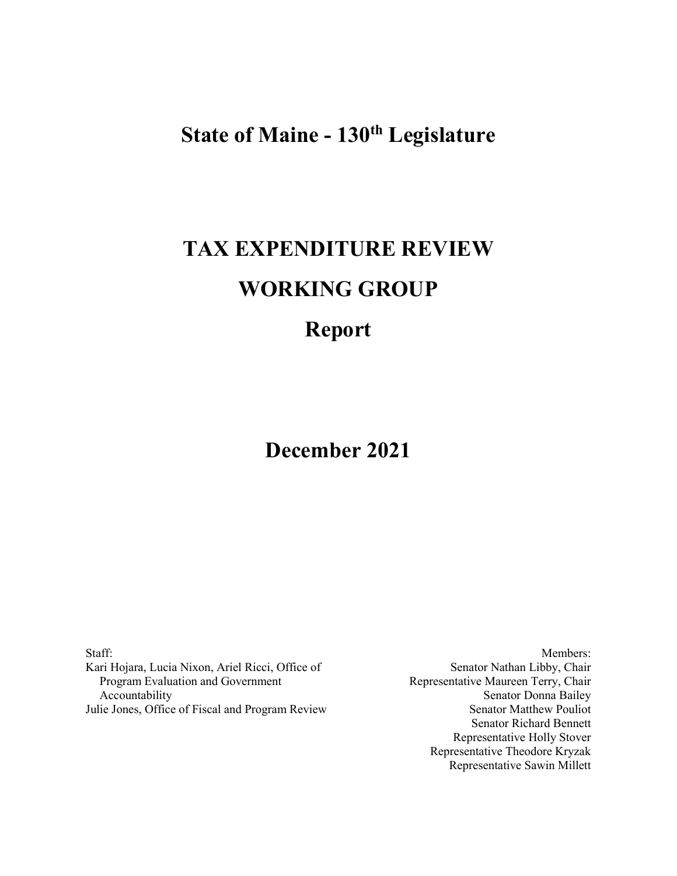# **State of Maine - 130th Legislature**

# **TAX EXPENDITURE REVIEW WORKING GROUP**

# **Report**

**December 2021**

Staff: Kari Hojara, Lucia Nixon, Ariel Ricci, Office of Program Evaluation and Government Accountability Julie Jones, Office of Fiscal and Program Review

Members: Senator Nathan Libby, Chair Representative Maureen Terry, Chair Senator Donna Bailey Senator Matthew Pouliot Senator Richard Bennett Representative Holly Stover Representative Theodore Kryzak Representative Sawin Millett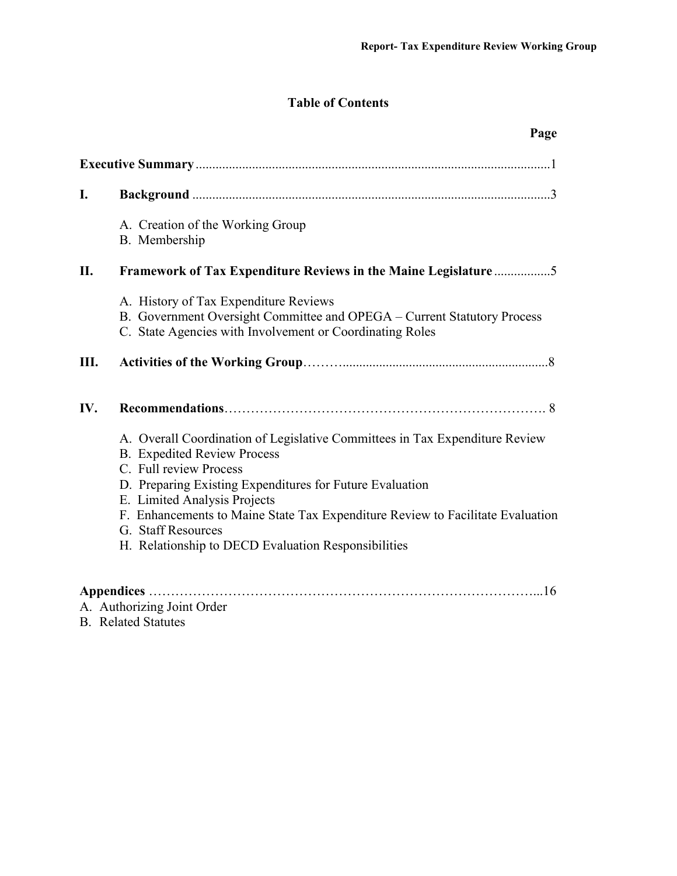## **Table of Contents**

|     | Page                                                                                                                                                                                                                                                                                                                                                                                                   |
|-----|--------------------------------------------------------------------------------------------------------------------------------------------------------------------------------------------------------------------------------------------------------------------------------------------------------------------------------------------------------------------------------------------------------|
|     |                                                                                                                                                                                                                                                                                                                                                                                                        |
| L.  |                                                                                                                                                                                                                                                                                                                                                                                                        |
|     | A. Creation of the Working Group<br>B. Membership                                                                                                                                                                                                                                                                                                                                                      |
| II. | Framework of Tax Expenditure Reviews in the Maine Legislature 5                                                                                                                                                                                                                                                                                                                                        |
|     | A. History of Tax Expenditure Reviews<br>B. Government Oversight Committee and OPEGA – Current Statutory Process<br>C. State Agencies with Involvement or Coordinating Roles                                                                                                                                                                                                                           |
| Ш.  |                                                                                                                                                                                                                                                                                                                                                                                                        |
| IV. |                                                                                                                                                                                                                                                                                                                                                                                                        |
|     | A. Overall Coordination of Legislative Committees in Tax Expenditure Review<br><b>B.</b> Expedited Review Process<br>C. Full review Process<br>D. Preparing Existing Expenditures for Future Evaluation<br>E. Limited Analysis Projects<br>F. Enhancements to Maine State Tax Expenditure Review to Facilitate Evaluation<br>G. Staff Resources<br>H. Relationship to DECD Evaluation Responsibilities |
|     |                                                                                                                                                                                                                                                                                                                                                                                                        |

- A. Authorizing Joint Order
- B. Related Statutes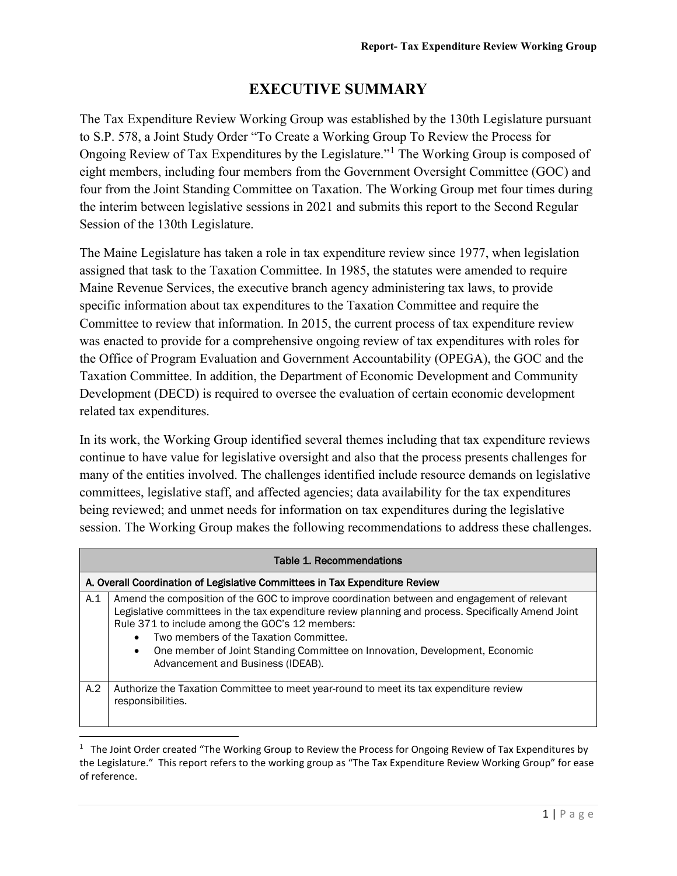# **EXECUTIVE SUMMARY**

The Tax Expenditure Review Working Group was established by the 130th Legislature pursuant to S.P. 578, a Joint Study Order "To Create a Working Group To Review the Process for Ongoing Review of Tax Expenditures by the Legislature."[1](#page-4-0) The Working Group is composed of eight members, including four members from the Government Oversight Committee (GOC) and four from the Joint Standing Committee on Taxation. The Working Group met four times during the interim between legislative sessions in 2021 and submits this report to the Second Regular Session of the 130th Legislature.

The Maine Legislature has taken a role in tax expenditure review since 1977, when legislation assigned that task to the Taxation Committee. In 1985, the statutes were amended to require Maine Revenue Services, the executive branch agency administering tax laws, to provide specific information about tax expenditures to the Taxation Committee and require the Committee to review that information. In 2015, the current process of tax expenditure review was enacted to provide for a comprehensive ongoing review of tax expenditures with roles for the Office of Program Evaluation and Government Accountability (OPEGA), the GOC and the Taxation Committee. In addition, the Department of Economic Development and Community Development (DECD) is required to oversee the evaluation of certain economic development related tax expenditures.

In its work, the Working Group identified several themes including that tax expenditure reviews continue to have value for legislative oversight and also that the process presents challenges for many of the entities involved. The challenges identified include resource demands on legislative committees, legislative staff, and affected agencies; data availability for the tax expenditures being reviewed; and unmet needs for information on tax expenditures during the legislative session. The Working Group makes the following recommendations to address these challenges.

| Table 1. Recommendations                                                    |                                                                                                                                                                                                                                                                                                                                                                                                                                  |  |
|-----------------------------------------------------------------------------|----------------------------------------------------------------------------------------------------------------------------------------------------------------------------------------------------------------------------------------------------------------------------------------------------------------------------------------------------------------------------------------------------------------------------------|--|
| A. Overall Coordination of Legislative Committees in Tax Expenditure Review |                                                                                                                                                                                                                                                                                                                                                                                                                                  |  |
| A.1                                                                         | Amend the composition of the GOC to improve coordination between and engagement of relevant<br>Legislative committees in the tax expenditure review planning and process. Specifically Amend Joint<br>Rule 371 to include among the GOC's 12 members:<br>Two members of the Taxation Committee.<br>One member of Joint Standing Committee on Innovation, Development, Economic<br>$\bullet$<br>Advancement and Business (IDEAB). |  |
| A.2                                                                         | Authorize the Taxation Committee to meet year-round to meet its tax expenditure review<br>responsibilities.                                                                                                                                                                                                                                                                                                                      |  |

<span id="page-4-0"></span> $\overline{1}$  $1$  The Joint Order created "The Working Group to Review the Process for Ongoing Review of Tax Expenditures by the Legislature." This report refers to the working group as "The Tax Expenditure Review Working Group" for ease of reference.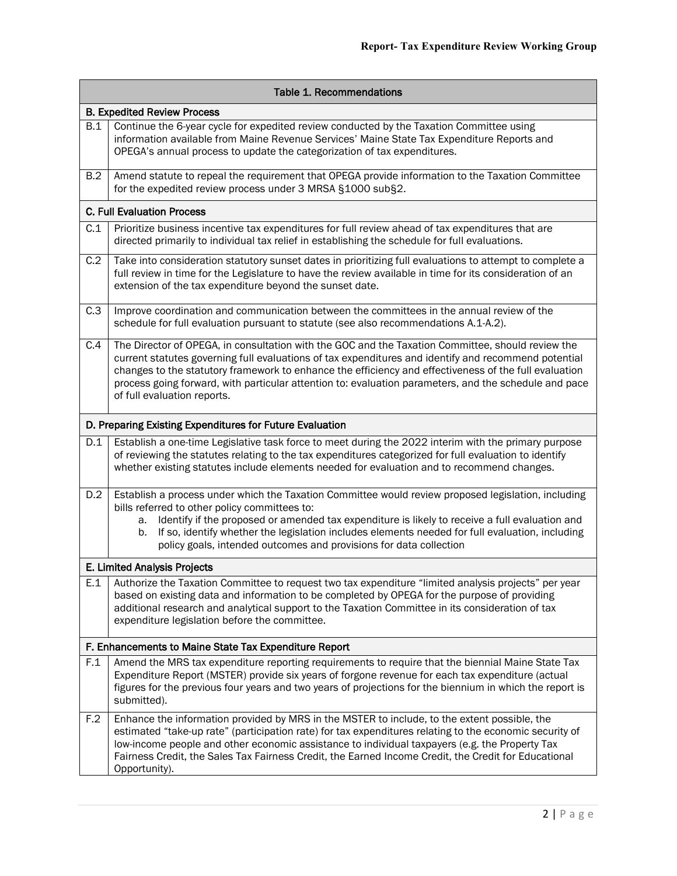| <b>Table 1. Recommendations</b><br><b>B. Expedited Review Process</b> |                                                                                                                                                                                                                                                                                                                                                                                                                                                            |  |     |                                                                                                                                                                                                                                                                    |
|-----------------------------------------------------------------------|------------------------------------------------------------------------------------------------------------------------------------------------------------------------------------------------------------------------------------------------------------------------------------------------------------------------------------------------------------------------------------------------------------------------------------------------------------|--|-----|--------------------------------------------------------------------------------------------------------------------------------------------------------------------------------------------------------------------------------------------------------------------|
|                                                                       |                                                                                                                                                                                                                                                                                                                                                                                                                                                            |  | B.1 | Continue the 6-year cycle for expedited review conducted by the Taxation Committee using<br>information available from Maine Revenue Services' Maine State Tax Expenditure Reports and<br>OPEGA's annual process to update the categorization of tax expenditures. |
| B.2                                                                   | Amend statute to repeal the requirement that OPEGA provide information to the Taxation Committee<br>for the expedited review process under 3 MRSA §1000 sub§2.                                                                                                                                                                                                                                                                                             |  |     |                                                                                                                                                                                                                                                                    |
|                                                                       | <b>C. Full Evaluation Process</b>                                                                                                                                                                                                                                                                                                                                                                                                                          |  |     |                                                                                                                                                                                                                                                                    |
| C.1                                                                   | Prioritize business incentive tax expenditures for full review ahead of tax expenditures that are<br>directed primarily to individual tax relief in establishing the schedule for full evaluations.                                                                                                                                                                                                                                                        |  |     |                                                                                                                                                                                                                                                                    |
| C.2                                                                   | Take into consideration statutory sunset dates in prioritizing full evaluations to attempt to complete a<br>full review in time for the Legislature to have the review available in time for its consideration of an<br>extension of the tax expenditure beyond the sunset date.                                                                                                                                                                           |  |     |                                                                                                                                                                                                                                                                    |
| C.3                                                                   | Improve coordination and communication between the committees in the annual review of the<br>schedule for full evaluation pursuant to statute (see also recommendations A.1-A.2).                                                                                                                                                                                                                                                                          |  |     |                                                                                                                                                                                                                                                                    |
| C.4                                                                   | The Director of OPEGA, in consultation with the GOC and the Taxation Committee, should review the<br>current statutes governing full evaluations of tax expenditures and identify and recommend potential<br>changes to the statutory framework to enhance the efficiency and effectiveness of the full evaluation<br>process going forward, with particular attention to: evaluation parameters, and the schedule and pace<br>of full evaluation reports. |  |     |                                                                                                                                                                                                                                                                    |
|                                                                       | D. Preparing Existing Expenditures for Future Evaluation                                                                                                                                                                                                                                                                                                                                                                                                   |  |     |                                                                                                                                                                                                                                                                    |
| D.1                                                                   | Establish a one-time Legislative task force to meet during the 2022 interim with the primary purpose<br>of reviewing the statutes relating to the tax expenditures categorized for full evaluation to identify<br>whether existing statutes include elements needed for evaluation and to recommend changes.                                                                                                                                               |  |     |                                                                                                                                                                                                                                                                    |
| D.2                                                                   | Establish a process under which the Taxation Committee would review proposed legislation, including<br>bills referred to other policy committees to:<br>Identify if the proposed or amended tax expenditure is likely to receive a full evaluation and<br>а.<br>If so, identify whether the legislation includes elements needed for full evaluation, including<br>b.<br>policy goals, intended outcomes and provisions for data collection                |  |     |                                                                                                                                                                                                                                                                    |
|                                                                       | E. Limited Analysis Projects                                                                                                                                                                                                                                                                                                                                                                                                                               |  |     |                                                                                                                                                                                                                                                                    |
| E.1                                                                   | Authorize the Taxation Committee to request two tax expenditure "limited analysis projects" per year<br>based on existing data and information to be completed by OPEGA for the purpose of providing<br>additional research and analytical support to the Taxation Committee in its consideration of tax<br>expenditure legislation before the committee.                                                                                                  |  |     |                                                                                                                                                                                                                                                                    |
|                                                                       | F. Enhancements to Maine State Tax Expenditure Report                                                                                                                                                                                                                                                                                                                                                                                                      |  |     |                                                                                                                                                                                                                                                                    |
| F.1                                                                   | Amend the MRS tax expenditure reporting requirements to require that the biennial Maine State Tax<br>Expenditure Report (MSTER) provide six years of forgone revenue for each tax expenditure (actual<br>figures for the previous four years and two years of projections for the biennium in which the report is<br>submitted).                                                                                                                           |  |     |                                                                                                                                                                                                                                                                    |
| F.2                                                                   | Enhance the information provided by MRS in the MSTER to include, to the extent possible, the<br>estimated "take-up rate" (participation rate) for tax expenditures relating to the economic security of<br>low-income people and other economic assistance to individual taxpayers (e.g. the Property Tax<br>Fairness Credit, the Sales Tax Fairness Credit, the Earned Income Credit, the Credit for Educational<br>Opportunity).                         |  |     |                                                                                                                                                                                                                                                                    |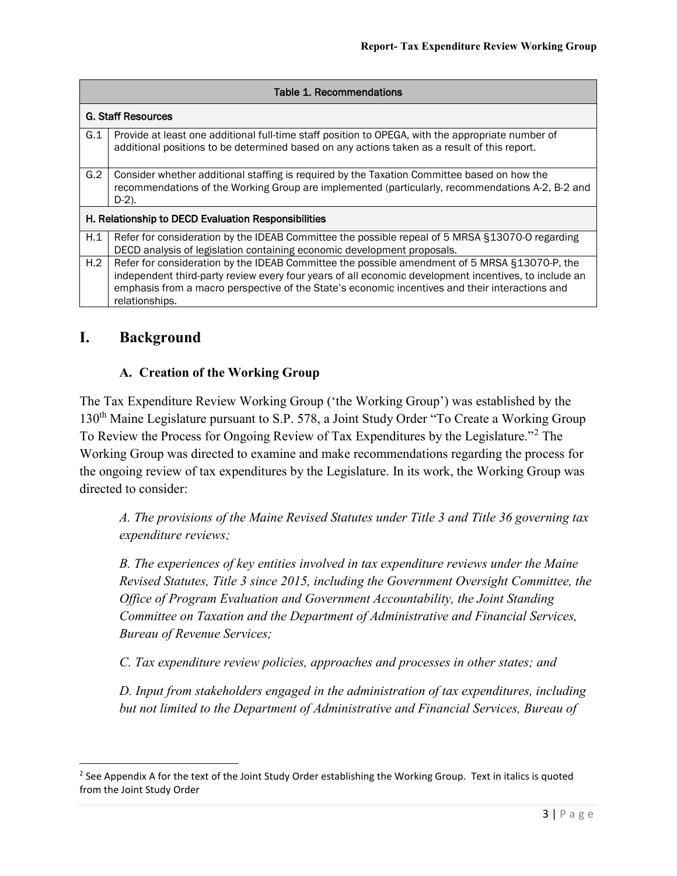| <b>Table 1. Recommendations</b>                     |                                                                                                                                                                                                                                                                                                                             |  |
|-----------------------------------------------------|-----------------------------------------------------------------------------------------------------------------------------------------------------------------------------------------------------------------------------------------------------------------------------------------------------------------------------|--|
| <b>G. Staff Resources</b>                           |                                                                                                                                                                                                                                                                                                                             |  |
| G.1                                                 | Provide at least one additional full-time staff position to OPEGA, with the appropriate number of<br>additional positions to be determined based on any actions taken as a result of this report.                                                                                                                           |  |
| G.2                                                 | Consider whether additional staffing is required by the Taxation Committee based on how the<br>recommendations of the Working Group are implemented (particularly, recommendations A-2, B-2 and<br>$D-2$ ).                                                                                                                 |  |
| H. Relationship to DECD Evaluation Responsibilities |                                                                                                                                                                                                                                                                                                                             |  |
| H.1                                                 | Refer for consideration by the IDEAB Committee the possible repeal of 5 MRSA §13070-O regarding<br>DECD analysis of legislation containing economic development proposals.                                                                                                                                                  |  |
| H.2                                                 | Refer for consideration by the IDEAB Committee the possible amendment of 5 MRSA §13070-P, the<br>independent third-party review every four years of all economic development incentives, to include an<br>emphasis from a macro perspective of the State's economic incentives and their interactions and<br>relationships. |  |

# **I. Background**

#### **A. Creation of the Working Group**

The Tax Expenditure Review Working Group ('the Working Group') was established by the 130<sup>th</sup> Maine Legislature pursuant to S.P. 578, a Joint Study Order "To Create a Working Group To Review the Process for Ongoing Review of Tax Expenditures by the Legislature."[2](#page-6-0) The Working Group was directed to examine and make recommendations regarding the process for the ongoing review of tax expenditures by the Legislature. In its work, the Working Group was directed to consider:

*A. The provisions of the Maine Revised Statutes under Title 3 and Title 36 governing tax expenditure reviews;*

*B. The experiences of key entities involved in tax expenditure reviews under the Maine Revised Statutes, Title 3 since 2015, including the Government Oversight Committee, the Office of Program Evaluation and Government Accountability, the Joint Standing Committee on Taxation and the Department of Administrative and Financial Services, Bureau of Revenue Services;*

*C. Tax expenditure review policies, approaches and processes in other states; and*

*D. Input from stakeholders engaged in the administration of tax expenditures, including but not limited to the Department of Administrative and Financial Services, Bureau of* 

<span id="page-6-0"></span> $2$  See Appendix A for the text of the Joint Study Order establishing the Working Group. Text in italics is quoted from the Joint Study Order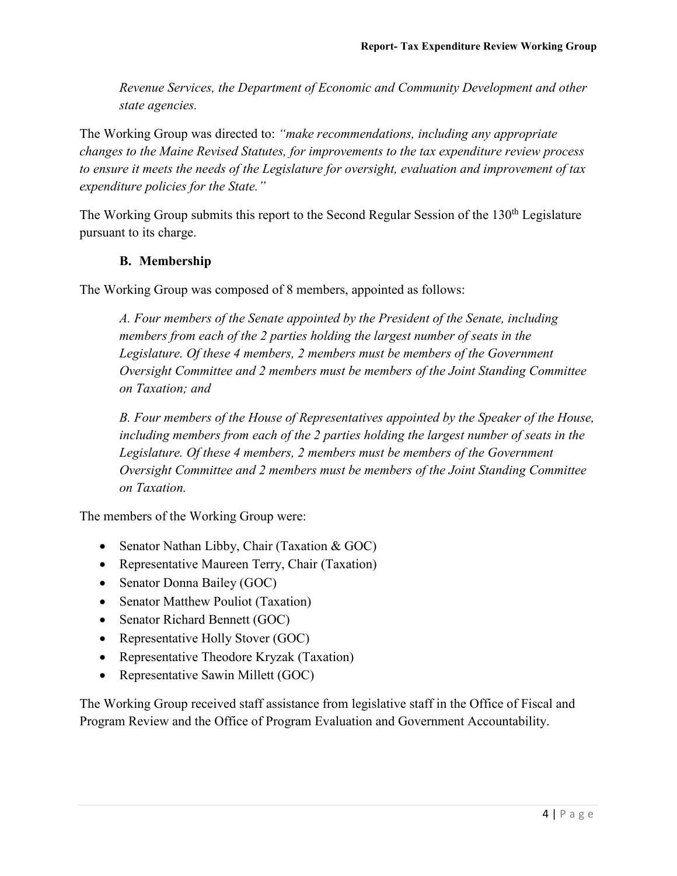*Revenue Services, the Department of Economic and Community Development and other state agencies.*

The Working Group was directed to: *"make recommendations, including any appropriate changes to the Maine Revised Statutes, for improvements to the tax expenditure review process to ensure it meets the needs of the Legislature for oversight, evaluation and improvement of tax expenditure policies for the State."*

The Working Group submits this report to the Second Regular Session of the 130<sup>th</sup> Legislature pursuant to its charge.

#### **B. Membership**

The Working Group was composed of 8 members, appointed as follows:

*A. Four members of the Senate appointed by the President of the Senate, including members from each of the 2 parties holding the largest number of seats in the Legislature. Of these 4 members, 2 members must be members of the Government Oversight Committee and 2 members must be members of the Joint Standing Committee on Taxation; and*

*B. Four members of the House of Representatives appointed by the Speaker of the House, including members from each of the 2 parties holding the largest number of seats in the Legislature. Of these 4 members, 2 members must be members of the Government Oversight Committee and 2 members must be members of the Joint Standing Committee on Taxation.*

The members of the Working Group were:

- Senator Nathan Libby, Chair (Taxation & GOC)
- Representative Maureen Terry, Chair (Taxation)
- Senator Donna Bailey (GOC)
- Senator Matthew Pouliot (Taxation)
- Senator Richard Bennett (GOC)
- Representative Holly Stover (GOC)
- Representative Theodore Kryzak (Taxation)
- Representative Sawin Millett (GOC)

The Working Group received staff assistance from legislative staff in the Office of Fiscal and Program Review and the Office of Program Evaluation and Government Accountability.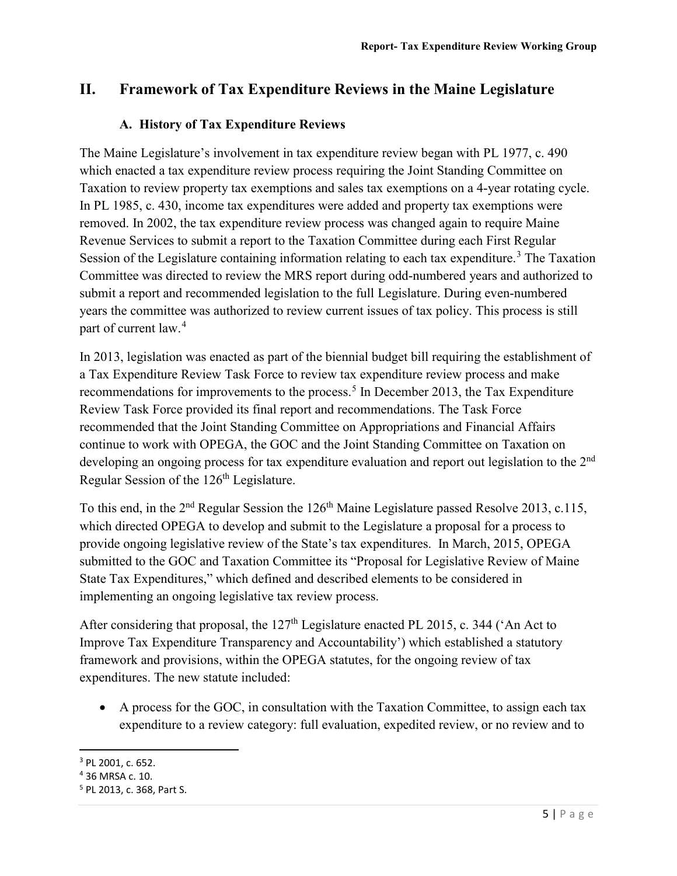## **II. Framework of Tax Expenditure Reviews in the Maine Legislature**

#### **A. History of Tax Expenditure Reviews**

The Maine Legislature's involvement in tax expenditure review began with PL 1977, c. 490 which enacted a tax expenditure review process requiring the Joint Standing Committee on Taxation to review property tax exemptions and sales tax exemptions on a 4-year rotating cycle. In PL 1985, c. 430, income tax expenditures were added and property tax exemptions were removed. In 2002, the tax expenditure review process was changed again to require Maine Revenue Services to submit a report to the Taxation Committee during each First Regular Session of the Legislature containing information relating to each tax expenditure.<sup>[3](#page-8-0)</sup> The Taxation Committee was directed to review the MRS report during odd-numbered years and authorized to submit a report and recommended legislation to the full Legislature. During even-numbered years the committee was authorized to review current issues of tax policy. This process is still part of current law.<sup>[4](#page-8-1)</sup>

In 2013, legislation was enacted as part of the biennial budget bill requiring the establishment of a Tax Expenditure Review Task Force to review tax expenditure review process and make recommendations for improvements to the process.<sup>[5](#page-8-2)</sup> In December 2013, the Tax Expenditure Review Task Force provided its final report and recommendations. The Task Force recommended that the Joint Standing Committee on Appropriations and Financial Affairs continue to work with OPEGA, the GOC and the Joint Standing Committee on Taxation on developing an ongoing process for tax expenditure evaluation and report out legislation to the 2<sup>nd</sup> Regular Session of the 126<sup>th</sup> Legislature.

To this end, in the 2<sup>nd</sup> Regular Session the 126<sup>th</sup> Maine Legislature passed Resolve 2013, c.115, which directed OPEGA to develop and submit to the Legislature a proposal for a process to provide ongoing legislative review of the State's tax expenditures. In March, 2015, OPEGA submitted to the GOC and Taxation Committee its "Proposal for Legislative Review of Maine State Tax Expenditures," which defined and described elements to be considered in implementing an ongoing legislative tax review process.

After considering that proposal, the 127<sup>th</sup> Legislature enacted PL 2015, c. 344 ('An Act to Improve Tax Expenditure Transparency and Accountability') which established a statutory framework and provisions, within the OPEGA statutes, for the ongoing review of tax expenditures. The new statute included:

• A process for the GOC, in consultation with the Taxation Committee, to assign each tax expenditure to a review category: full evaluation, expedited review, or no review and to

<span id="page-8-0"></span> <sup>3</sup> PL 2001, c. 652.

<span id="page-8-1"></span><sup>4</sup> 36 MRSA c. 10.

<span id="page-8-2"></span><sup>5</sup> PL 2013, c. 368, Part S.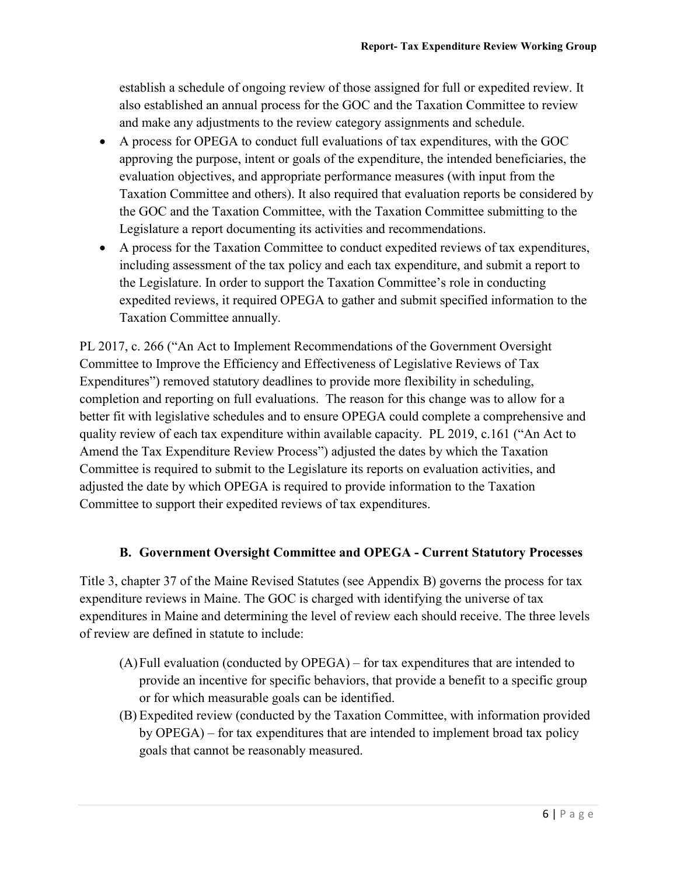establish a schedule of ongoing review of those assigned for full or expedited review. It also established an annual process for the GOC and the Taxation Committee to review and make any adjustments to the review category assignments and schedule.

- A process for OPEGA to conduct full evaluations of tax expenditures, with the GOC approving the purpose, intent or goals of the expenditure, the intended beneficiaries, the evaluation objectives, and appropriate performance measures (with input from the Taxation Committee and others). It also required that evaluation reports be considered by the GOC and the Taxation Committee, with the Taxation Committee submitting to the Legislature a report documenting its activities and recommendations.
- A process for the Taxation Committee to conduct expedited reviews of tax expenditures, including assessment of the tax policy and each tax expenditure, and submit a report to the Legislature. In order to support the Taxation Committee's role in conducting expedited reviews, it required OPEGA to gather and submit specified information to the Taxation Committee annually.

PL 2017, c. 266 ("An Act to Implement Recommendations of the Government Oversight Committee to Improve the Efficiency and Effectiveness of Legislative Reviews of Tax Expenditures") removed statutory deadlines to provide more flexibility in scheduling, completion and reporting on full evaluations. The reason for this change was to allow for a better fit with legislative schedules and to ensure OPEGA could complete a comprehensive and quality review of each tax expenditure within available capacity. PL 2019, c.161 ("An Act to Amend the Tax Expenditure Review Process") adjusted the dates by which the Taxation Committee is required to submit to the Legislature its reports on evaluation activities, and adjusted the date by which OPEGA is required to provide information to the Taxation Committee to support their expedited reviews of tax expenditures.

#### **B. Government Oversight Committee and OPEGA - Current Statutory Processes**

Title 3, chapter 37 of the Maine Revised Statutes (see Appendix B) governs the process for tax expenditure reviews in Maine. The GOC is charged with identifying the universe of tax expenditures in Maine and determining the level of review each should receive. The three levels of review are defined in statute to include:

- (A)Full evaluation (conducted by OPEGA) for tax expenditures that are intended to provide an incentive for specific behaviors, that provide a benefit to a specific group or for which measurable goals can be identified.
- (B) Expedited review (conducted by the Taxation Committee, with information provided by OPEGA) – for tax expenditures that are intended to implement broad tax policy goals that cannot be reasonably measured.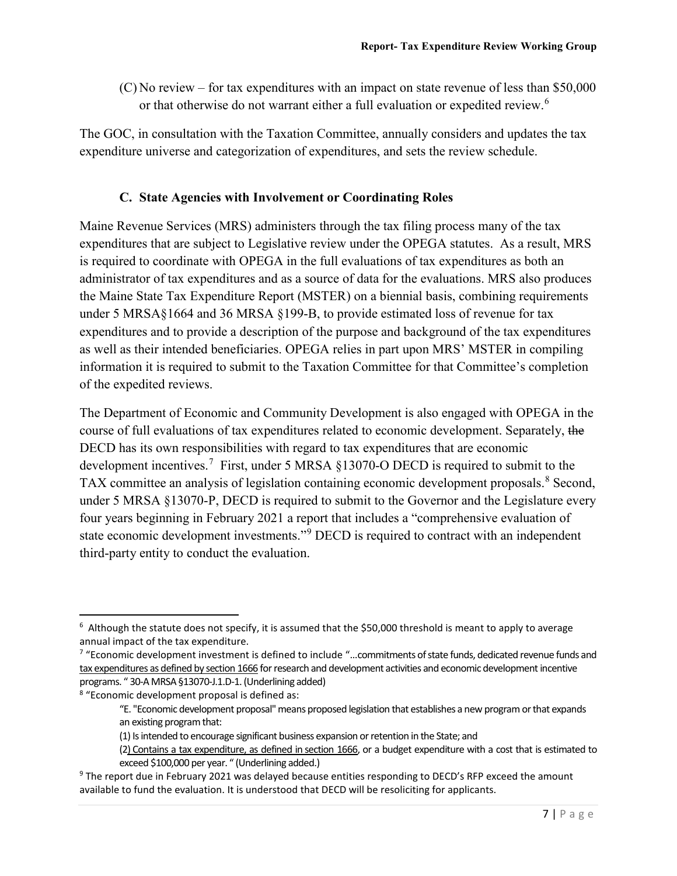(C) No review – for tax expenditures with an impact on state revenue of less than \$50,000 or that otherwise do not warrant either a full evaluation or expedited review.<sup>[6](#page-10-0)</sup>

The GOC, in consultation with the Taxation Committee, annually considers and updates the tax expenditure universe and categorization of expenditures, and sets the review schedule.

#### **C. State Agencies with Involvement or Coordinating Roles**

Maine Revenue Services (MRS) administers through the tax filing process many of the tax expenditures that are subject to Legislative review under the OPEGA statutes. As a result, MRS is required to coordinate with OPEGA in the full evaluations of tax expenditures as both an administrator of tax expenditures and as a source of data for the evaluations. MRS also produces the Maine State Tax Expenditure Report (MSTER) on a biennial basis, combining requirements under 5 MRSA§1664 and 36 MRSA §199-B, to provide estimated loss of revenue for tax expenditures and to provide a description of the purpose and background of the tax expenditures as well as their intended beneficiaries. OPEGA relies in part upon MRS' MSTER in compiling information it is required to submit to the Taxation Committee for that Committee's completion of the expedited reviews.

The Department of Economic and Community Development is also engaged with OPEGA in the course of full evaluations of tax expenditures related to economic development. Separately, the DECD has its own responsibilities with regard to tax expenditures that are economic development incentives.<sup>[7](#page-10-1)</sup> First, under 5 MRSA  $\S 13070$ -O DECD is required to submit to the TAX committee an analysis of legislation containing economic development proposals.<sup>[8](#page-10-2)</sup> Second, under 5 MRSA §13070-P, DECD is required to submit to the Governor and the Legislature every four years beginning in February 2021 a report that includes a "comprehensive evaluation of state economic development investments."[9](#page-10-3) DECD is required to contract with an independent third-party entity to conduct the evaluation.

<span id="page-10-0"></span><sup>&</sup>lt;sup>6</sup> Although the statute does not specify, it is assumed that the \$50,000 threshold is meant to apply to average annual impact of the tax expenditure.

<span id="page-10-1"></span><sup>7</sup> "Economic development investment is defined to include "…commitments of state funds, dedicated revenue funds and tax expenditures as defined by [section 1666](https://legislature.maine.gov/legis/statutes/5/title5sec1666.html) for research and development activities and economic development incentive programs. " 30-A MRSA §13070-J.1.D-1. (Underlining added)

<span id="page-10-2"></span><sup>8</sup> "Economic development proposal is defined as:

<sup>&</sup>quot;E. "Economic development proposal" means proposed legislation that establishes a new program or that expands an existing program that:

<sup>(1)</sup> Is intended to encourage significant business expansion or retention in the State; and

<sup>(2)</sup> Contains a tax expenditure, as defined in [section 1666,](https://legislature.maine.gov/legis/statutes/5/title5sec1666.html) or a budget expenditure with a cost that is estimated to exceed \$100,000 per year. " (Underlining added.)

<span id="page-10-3"></span><sup>&</sup>lt;sup>9</sup> The report due in February 2021 was delayed because entities responding to DECD's RFP exceed the amount available to fund the evaluation. It is understood that DECD will be resoliciting for applicants.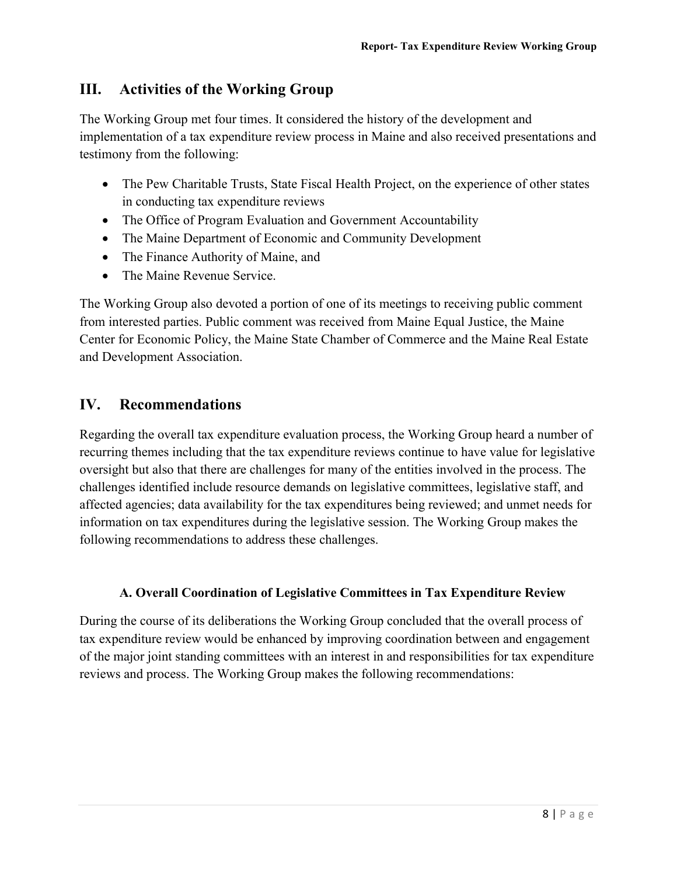# **III. Activities of the Working Group**

The Working Group met four times. It considered the history of the development and implementation of a tax expenditure review process in Maine and also received presentations and testimony from the following:

- The Pew Charitable Trusts, State Fiscal Health Project, on the experience of other states in conducting tax expenditure reviews
- The Office of Program Evaluation and Government Accountability
- The Maine Department of Economic and Community Development
- The Finance Authority of Maine, and
- The Maine Revenue Service.

The Working Group also devoted a portion of one of its meetings to receiving public comment from interested parties. Public comment was received from Maine Equal Justice, the Maine Center for Economic Policy, the Maine State Chamber of Commerce and the Maine Real Estate and Development Association.

## **IV. Recommendations**

Regarding the overall tax expenditure evaluation process, the Working Group heard a number of recurring themes including that the tax expenditure reviews continue to have value for legislative oversight but also that there are challenges for many of the entities involved in the process. The challenges identified include resource demands on legislative committees, legislative staff, and affected agencies; data availability for the tax expenditures being reviewed; and unmet needs for information on tax expenditures during the legislative session. The Working Group makes the following recommendations to address these challenges.

#### **A. Overall Coordination of Legislative Committees in Tax Expenditure Review**

During the course of its deliberations the Working Group concluded that the overall process of tax expenditure review would be enhanced by improving coordination between and engagement of the major joint standing committees with an interest in and responsibilities for tax expenditure reviews and process. The Working Group makes the following recommendations: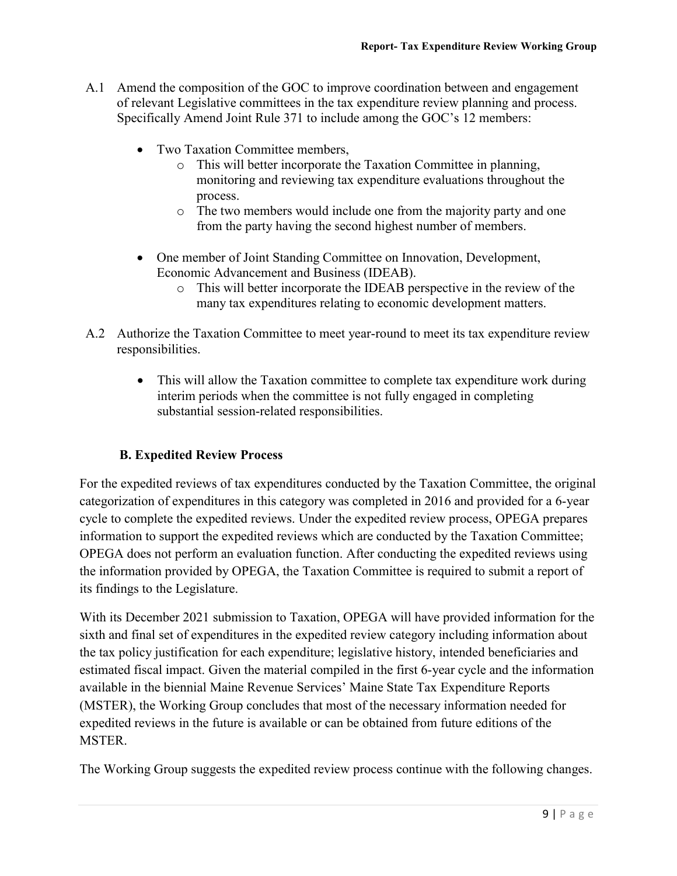- A.1 Amend the composition of the GOC to improve coordination between and engagement of relevant Legislative committees in the tax expenditure review planning and process. Specifically Amend Joint Rule 371 to include among the GOC's 12 members:
	- Two Taxation Committee members.
		- o This will better incorporate the Taxation Committee in planning, monitoring and reviewing tax expenditure evaluations throughout the process.
		- o The two members would include one from the majority party and one from the party having the second highest number of members.
	- One member of Joint Standing Committee on Innovation, Development, Economic Advancement and Business (IDEAB).
		- o This will better incorporate the IDEAB perspective in the review of the many tax expenditures relating to economic development matters.
- A.2 Authorize the Taxation Committee to meet year-round to meet its tax expenditure review responsibilities.
	- This will allow the Taxation committee to complete tax expenditure work during interim periods when the committee is not fully engaged in completing substantial session-related responsibilities.

#### **B. Expedited Review Process**

For the expedited reviews of tax expenditures conducted by the Taxation Committee, the original categorization of expenditures in this category was completed in 2016 and provided for a 6-year cycle to complete the expedited reviews. Under the expedited review process, OPEGA prepares information to support the expedited reviews which are conducted by the Taxation Committee; OPEGA does not perform an evaluation function. After conducting the expedited reviews using the information provided by OPEGA, the Taxation Committee is required to submit a report of its findings to the Legislature.

With its December 2021 submission to Taxation, OPEGA will have provided information for the sixth and final set of expenditures in the expedited review category including information about the tax policy justification for each expenditure; legislative history, intended beneficiaries and estimated fiscal impact. Given the material compiled in the first 6-year cycle and the information available in the biennial Maine Revenue Services' Maine State Tax Expenditure Reports (MSTER), the Working Group concludes that most of the necessary information needed for expedited reviews in the future is available or can be obtained from future editions of the MSTER.

The Working Group suggests the expedited review process continue with the following changes.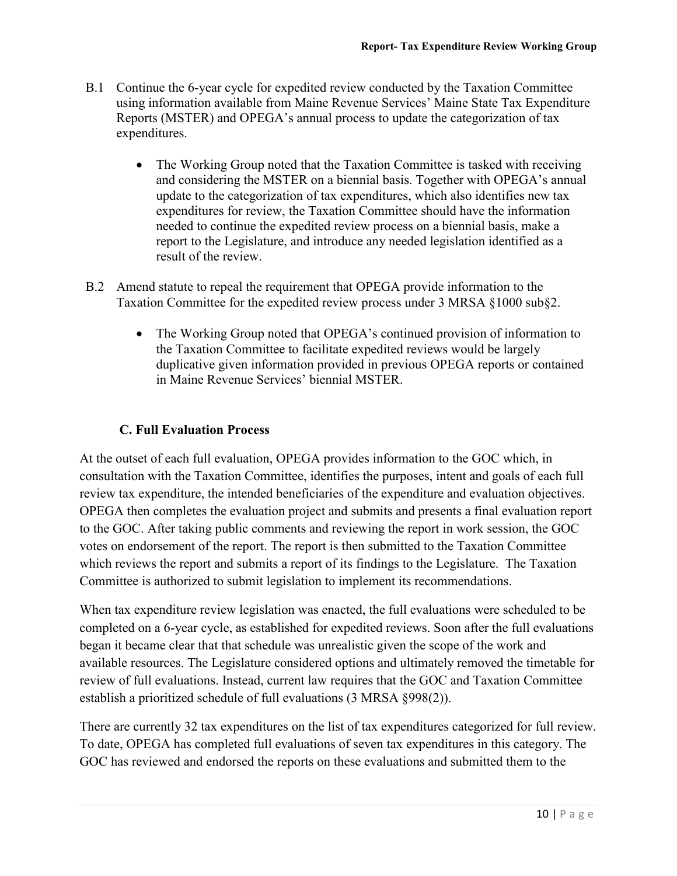- B.1 Continue the 6-year cycle for expedited review conducted by the Taxation Committee using information available from Maine Revenue Services' Maine State Tax Expenditure Reports (MSTER) and OPEGA's annual process to update the categorization of tax expenditures.
	- The Working Group noted that the Taxation Committee is tasked with receiving and considering the MSTER on a biennial basis. Together with OPEGA's annual update to the categorization of tax expenditures, which also identifies new tax expenditures for review, the Taxation Committee should have the information needed to continue the expedited review process on a biennial basis, make a report to the Legislature, and introduce any needed legislation identified as a result of the review.
- B.2 Amend statute to repeal the requirement that OPEGA provide information to the Taxation Committee for the expedited review process under 3 MRSA §1000 sub§2.
	- The Working Group noted that OPEGA's continued provision of information to the Taxation Committee to facilitate expedited reviews would be largely duplicative given information provided in previous OPEGA reports or contained in Maine Revenue Services' biennial MSTER.

#### **C. Full Evaluation Process**

At the outset of each full evaluation, OPEGA provides information to the GOC which, in consultation with the Taxation Committee, identifies the purposes, intent and goals of each full review tax expenditure, the intended beneficiaries of the expenditure and evaluation objectives. OPEGA then completes the evaluation project and submits and presents a final evaluation report to the GOC. After taking public comments and reviewing the report in work session, the GOC votes on endorsement of the report. The report is then submitted to the Taxation Committee which reviews the report and submits a report of its findings to the Legislature. The Taxation Committee is authorized to submit legislation to implement its recommendations.

When tax expenditure review legislation was enacted, the full evaluations were scheduled to be completed on a 6-year cycle, as established for expedited reviews. Soon after the full evaluations began it became clear that that schedule was unrealistic given the scope of the work and available resources. The Legislature considered options and ultimately removed the timetable for review of full evaluations. Instead, current law requires that the GOC and Taxation Committee establish a prioritized schedule of full evaluations (3 MRSA §998(2)).

There are currently 32 tax expenditures on the list of tax expenditures categorized for full review. To date, OPEGA has completed full evaluations of seven tax expenditures in this category. The GOC has reviewed and endorsed the reports on these evaluations and submitted them to the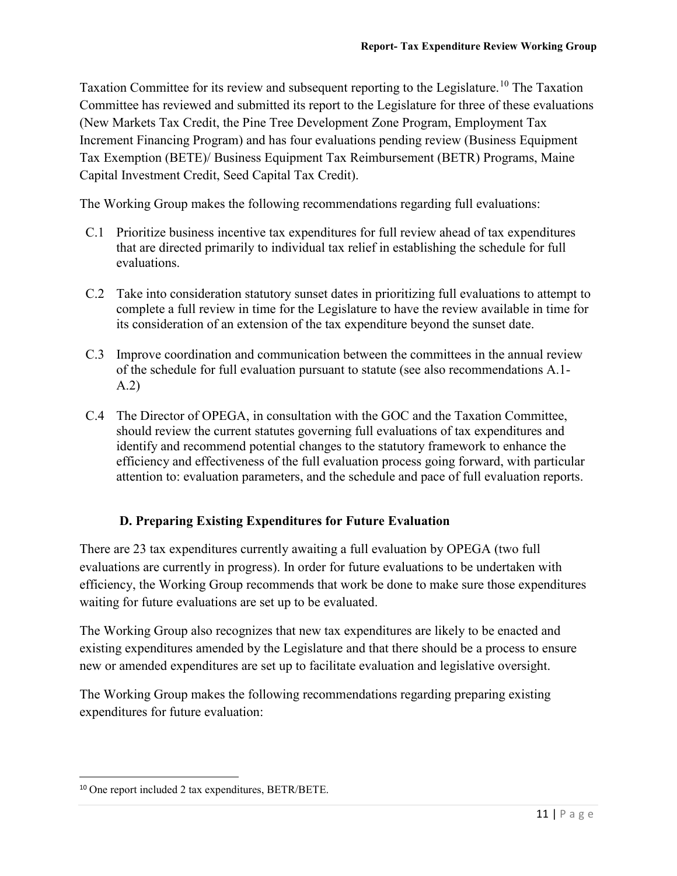Taxation Committee for its review and subsequent reporting to the Legislature.<sup>[10](#page-14-0)</sup> The Taxation Committee has reviewed and submitted its report to the Legislature for three of these evaluations (New Markets Tax Credit, the Pine Tree Development Zone Program, Employment Tax Increment Financing Program) and has four evaluations pending review (Business Equipment Tax Exemption (BETE)/ Business Equipment Tax Reimbursement (BETR) Programs, Maine Capital Investment Credit, Seed Capital Tax Credit).

The Working Group makes the following recommendations regarding full evaluations:

- C.1 Prioritize business incentive tax expenditures for full review ahead of tax expenditures that are directed primarily to individual tax relief in establishing the schedule for full evaluations.
- C.2 Take into consideration statutory sunset dates in prioritizing full evaluations to attempt to complete a full review in time for the Legislature to have the review available in time for its consideration of an extension of the tax expenditure beyond the sunset date.
- C.3 Improve coordination and communication between the committees in the annual review of the schedule for full evaluation pursuant to statute (see also recommendations A.1- A.2)
- C.4 The Director of OPEGA, in consultation with the GOC and the Taxation Committee, should review the current statutes governing full evaluations of tax expenditures and identify and recommend potential changes to the statutory framework to enhance the efficiency and effectiveness of the full evaluation process going forward, with particular attention to: evaluation parameters, and the schedule and pace of full evaluation reports.

#### **D. Preparing Existing Expenditures for Future Evaluation**

There are 23 tax expenditures currently awaiting a full evaluation by OPEGA (two full evaluations are currently in progress). In order for future evaluations to be undertaken with efficiency, the Working Group recommends that work be done to make sure those expenditures waiting for future evaluations are set up to be evaluated.

The Working Group also recognizes that new tax expenditures are likely to be enacted and existing expenditures amended by the Legislature and that there should be a process to ensure new or amended expenditures are set up to facilitate evaluation and legislative oversight.

The Working Group makes the following recommendations regarding preparing existing expenditures for future evaluation:

<span id="page-14-0"></span> <sup>10</sup> One report included 2 tax expenditures, BETR/BETE.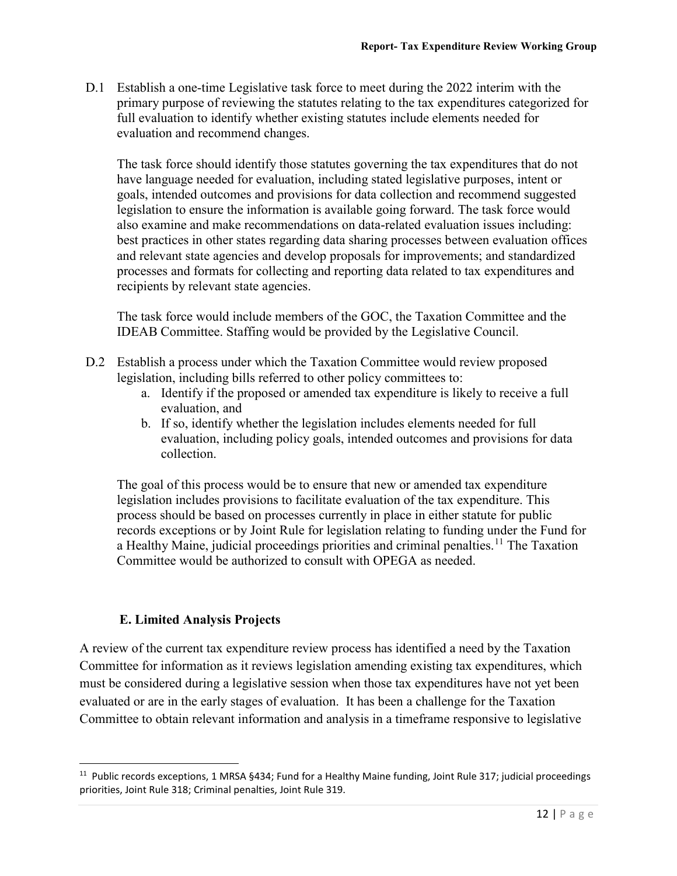D.1 Establish a one-time Legislative task force to meet during the 2022 interim with the primary purpose of reviewing the statutes relating to the tax expenditures categorized for full evaluation to identify whether existing statutes include elements needed for evaluation and recommend changes.

The task force should identify those statutes governing the tax expenditures that do not have language needed for evaluation, including stated legislative purposes, intent or goals, intended outcomes and provisions for data collection and recommend suggested legislation to ensure the information is available going forward. The task force would also examine and make recommendations on data-related evaluation issues including: best practices in other states regarding data sharing processes between evaluation offices and relevant state agencies and develop proposals for improvements; and standardized processes and formats for collecting and reporting data related to tax expenditures and recipients by relevant state agencies.

The task force would include members of the GOC, the Taxation Committee and the IDEAB Committee. Staffing would be provided by the Legislative Council.

- D.2 Establish a process under which the Taxation Committee would review proposed legislation, including bills referred to other policy committees to:
	- a. Identify if the proposed or amended tax expenditure is likely to receive a full evaluation, and
	- b. If so, identify whether the legislation includes elements needed for full evaluation, including policy goals, intended outcomes and provisions for data collection.

The goal of this process would be to ensure that new or amended tax expenditure legislation includes provisions to facilitate evaluation of the tax expenditure. This process should be based on processes currently in place in either statute for public records exceptions or by Joint Rule for legislation relating to funding under the Fund for a Healthy Maine, judicial proceedings priorities and criminal penalties.<sup>[11](#page-15-0)</sup> The Taxation Committee would be authorized to consult with OPEGA as needed.

#### **E. Limited Analysis Projects**

A review of the current tax expenditure review process has identified a need by the Taxation Committee for information as it reviews legislation amending existing tax expenditures, which must be considered during a legislative session when those tax expenditures have not yet been evaluated or are in the early stages of evaluation. It has been a challenge for the Taxation Committee to obtain relevant information and analysis in a timeframe responsive to legislative

<span id="page-15-0"></span><sup>&</sup>lt;sup>11</sup> Public records exceptions, 1 MRSA §434; Fund for a Healthy Maine funding, Joint Rule 317; judicial proceedings priorities, Joint Rule 318; Criminal penalties, Joint Rule 319.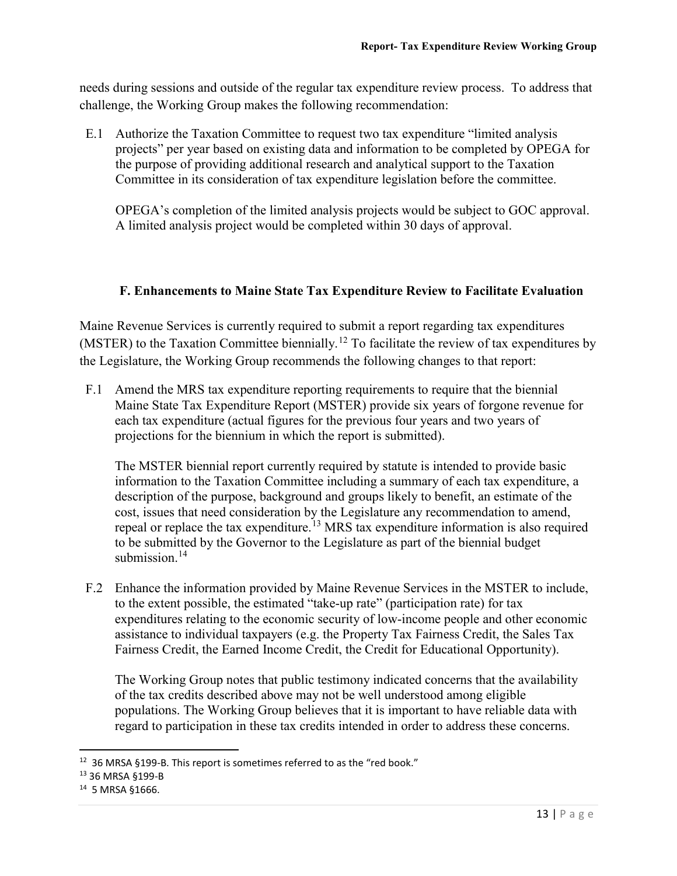needs during sessions and outside of the regular tax expenditure review process. To address that challenge, the Working Group makes the following recommendation:

E.1 Authorize the Taxation Committee to request two tax expenditure "limited analysis projects" per year based on existing data and information to be completed by OPEGA for the purpose of providing additional research and analytical support to the Taxation Committee in its consideration of tax expenditure legislation before the committee.

OPEGA's completion of the limited analysis projects would be subject to GOC approval. A limited analysis project would be completed within 30 days of approval.

#### **F. Enhancements to Maine State Tax Expenditure Review to Facilitate Evaluation**

Maine Revenue Services is currently required to submit a report regarding tax expenditures (MSTER) to the Taxation Committee biennially.<sup>[12](#page-16-0)</sup> To facilitate the review of tax expenditures by the Legislature, the Working Group recommends the following changes to that report:

F.1 Amend the MRS tax expenditure reporting requirements to require that the biennial Maine State Tax Expenditure Report (MSTER) provide six years of forgone revenue for each tax expenditure (actual figures for the previous four years and two years of projections for the biennium in which the report is submitted).

The MSTER biennial report currently required by statute is intended to provide basic information to the Taxation Committee including a summary of each tax expenditure, a description of the purpose, background and groups likely to benefit, an estimate of the cost, issues that need consideration by the Legislature any recommendation to amend, repeal or replace the tax expenditure.<sup>[13](#page-16-1)</sup> MRS tax expenditure information is also required to be submitted by the Governor to the Legislature as part of the biennial budget submission. $14$ 

F.2 Enhance the information provided by Maine Revenue Services in the MSTER to include, to the extent possible, the estimated "take-up rate" (participation rate) for tax expenditures relating to the economic security of low-income people and other economic assistance to individual taxpayers (e.g. the Property Tax Fairness Credit, the Sales Tax Fairness Credit, the Earned Income Credit, the Credit for Educational Opportunity).

The Working Group notes that public testimony indicated concerns that the availability of the tax credits described above may not be well understood among eligible populations. The Working Group believes that it is important to have reliable data with regard to participation in these tax credits intended in order to address these concerns.

<span id="page-16-0"></span><sup>&</sup>lt;sup>12</sup> 36 MRSA §199-B. This report is sometimes referred to as the "red book."

<span id="page-16-1"></span><sup>13</sup> 36 MRSA §199-B

<span id="page-16-2"></span><sup>14</sup> 5 MRSA §1666.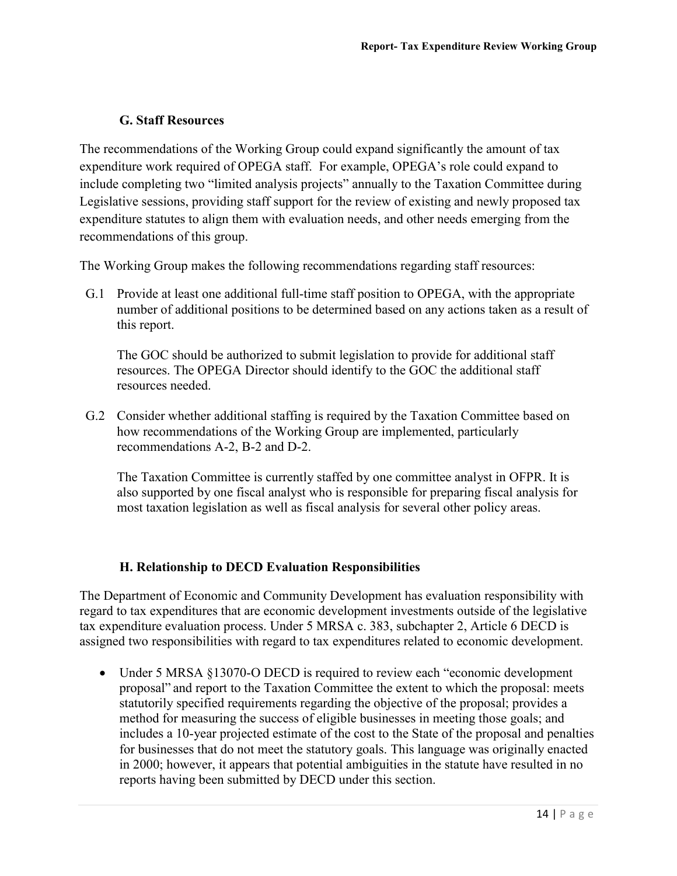#### **G. Staff Resources**

The recommendations of the Working Group could expand significantly the amount of tax expenditure work required of OPEGA staff. For example, OPEGA's role could expand to include completing two "limited analysis projects" annually to the Taxation Committee during Legislative sessions, providing staff support for the review of existing and newly proposed tax expenditure statutes to align them with evaluation needs, and other needs emerging from the recommendations of this group.

The Working Group makes the following recommendations regarding staff resources:

G.1 Provide at least one additional full-time staff position to OPEGA, with the appropriate number of additional positions to be determined based on any actions taken as a result of this report.

The GOC should be authorized to submit legislation to provide for additional staff resources. The OPEGA Director should identify to the GOC the additional staff resources needed.

G.2 Consider whether additional staffing is required by the Taxation Committee based on how recommendations of the Working Group are implemented, particularly recommendations A-2, B-2 and D-2.

The Taxation Committee is currently staffed by one committee analyst in OFPR. It is also supported by one fiscal analyst who is responsible for preparing fiscal analysis for most taxation legislation as well as fiscal analysis for several other policy areas.

#### **H. Relationship to DECD Evaluation Responsibilities**

The Department of Economic and Community Development has evaluation responsibility with regard to tax expenditures that are economic development investments outside of the legislative tax expenditure evaluation process. Under 5 MRSA c. 383, subchapter 2, Article 6 DECD is assigned two responsibilities with regard to tax expenditures related to economic development.

• Under 5 MRSA §13070-O DECD is required to review each "economic development" proposal" and report to the Taxation Committee the extent to which the proposal: meets statutorily specified requirements regarding the objective of the proposal; provides a method for measuring the success of eligible businesses in meeting those goals; and includes a 10-year projected estimate of the cost to the State of the proposal and penalties for businesses that do not meet the statutory goals. This language was originally enacted in 2000; however, it appears that potential ambiguities in the statute have resulted in no reports having been submitted by DECD under this section.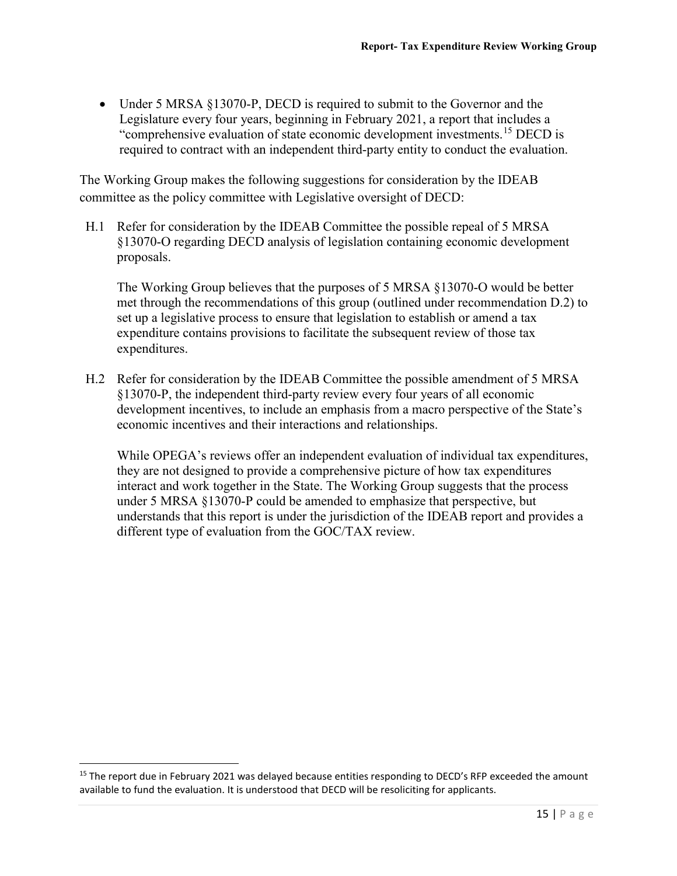• Under 5 MRSA §13070-P, DECD is required to submit to the Governor and the Legislature every four years, beginning in February 2021, a report that includes a "comprehensive evaluation of state economic development investments.[15](#page-18-0) DECD is required to contract with an independent third-party entity to conduct the evaluation.

The Working Group makes the following suggestions for consideration by the IDEAB committee as the policy committee with Legislative oversight of DECD:

H.1 Refer for consideration by the IDEAB Committee the possible repeal of 5 MRSA §13070-O regarding DECD analysis of legislation containing economic development proposals.

The Working Group believes that the purposes of 5 MRSA §13070-O would be better met through the recommendations of this group (outlined under recommendation D.2) to set up a legislative process to ensure that legislation to establish or amend a tax expenditure contains provisions to facilitate the subsequent review of those tax expenditures.

H.2 Refer for consideration by the IDEAB Committee the possible amendment of 5 MRSA §13070-P, the independent third-party review every four years of all economic development incentives, to include an emphasis from a macro perspective of the State's economic incentives and their interactions and relationships.

While OPEGA's reviews offer an independent evaluation of individual tax expenditures, they are not designed to provide a comprehensive picture of how tax expenditures interact and work together in the State. The Working Group suggests that the process under 5 MRSA §13070-P could be amended to emphasize that perspective, but understands that this report is under the jurisdiction of the IDEAB report and provides a different type of evaluation from the GOC/TAX review.

<span id="page-18-0"></span><sup>&</sup>lt;sup>15</sup> The report due in February 2021 was delayed because entities responding to DECD's RFP exceeded the amount available to fund the evaluation. It is understood that DECD will be resoliciting for applicants.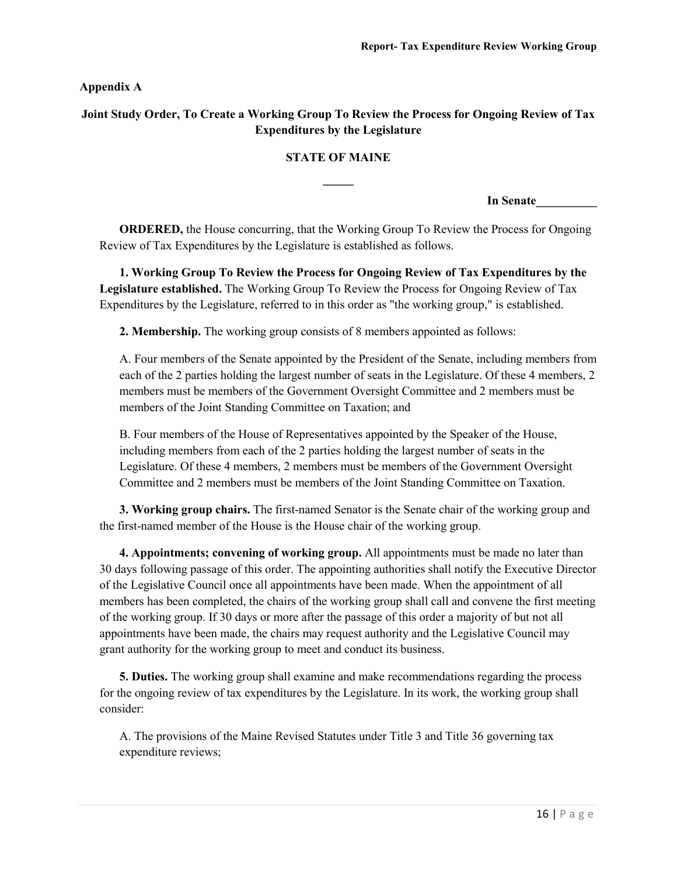**Appendix A**

#### **Joint Study Order, To Create a Working Group To Review the Process for Ongoing Review of Tax Expenditures by the Legislature**

#### **STATE OF MAINE**

**\_\_\_\_\_**

**In Senate\_\_\_\_\_\_\_\_\_\_**

**ORDERED,** the House concurring, that the Working Group To Review the Process for Ongoing Review of Tax Expenditures by the Legislature is established as follows.

**1. Working Group To Review the Process for Ongoing Review of Tax Expenditures by the Legislature established.** The Working Group To Review the Process for Ongoing Review of Tax Expenditures by the Legislature, referred to in this order as "the working group," is established.

**2. Membership.** The working group consists of 8 members appointed as follows:

A. Four members of the Senate appointed by the President of the Senate, including members from each of the 2 parties holding the largest number of seats in the Legislature. Of these 4 members, 2 members must be members of the Government Oversight Committee and 2 members must be members of the Joint Standing Committee on Taxation; and

B. Four members of the House of Representatives appointed by the Speaker of the House, including members from each of the 2 parties holding the largest number of seats in the Legislature. Of these 4 members, 2 members must be members of the Government Oversight Committee and 2 members must be members of the Joint Standing Committee on Taxation.

**3. Working group chairs.** The first-named Senator is the Senate chair of the working group and the first-named member of the House is the House chair of the working group.

**4. Appointments; convening of working group.** All appointments must be made no later than 30 days following passage of this order. The appointing authorities shall notify the Executive Director of the Legislative Council once all appointments have been made. When the appointment of all members has been completed, the chairs of the working group shall call and convene the first meeting of the working group. If 30 days or more after the passage of this order a majority of but not all appointments have been made, the chairs may request authority and the Legislative Council may grant authority for the working group to meet and conduct its business.

**5. Duties.** The working group shall examine and make recommendations regarding the process for the ongoing review of tax expenditures by the Legislature. In its work, the working group shall consider:

A. The provisions of the Maine Revised Statutes under Title 3 and Title 36 governing tax expenditure reviews;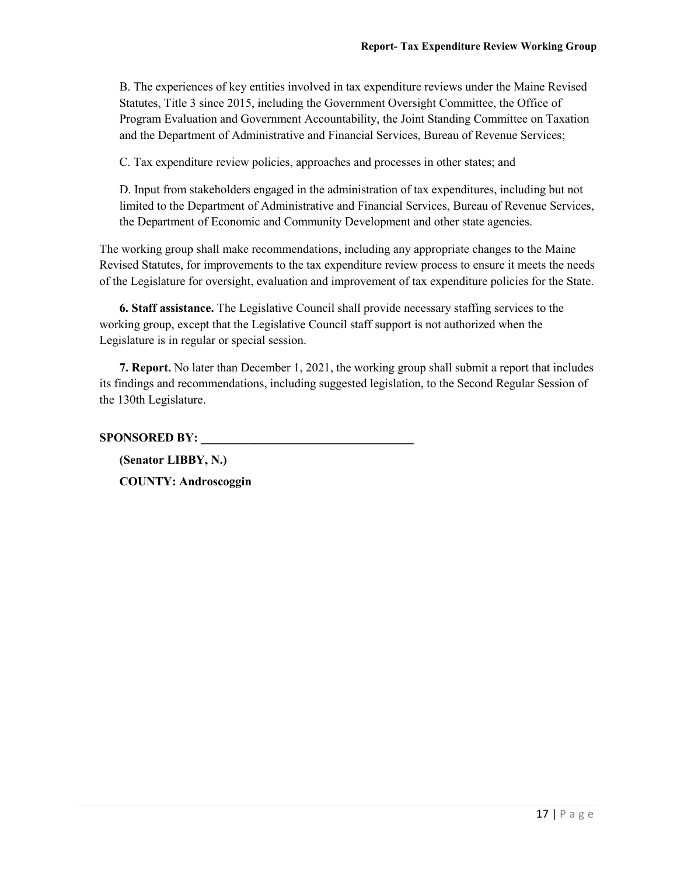B. The experiences of key entities involved in tax expenditure reviews under the Maine Revised Statutes, Title 3 since 2015, including the Government Oversight Committee, the Office of Program Evaluation and Government Accountability, the Joint Standing Committee on Taxation and the Department of Administrative and Financial Services, Bureau of Revenue Services;

C. Tax expenditure review policies, approaches and processes in other states; and

D. Input from stakeholders engaged in the administration of tax expenditures, including but not limited to the Department of Administrative and Financial Services, Bureau of Revenue Services, the Department of Economic and Community Development and other state agencies.

The working group shall make recommendations, including any appropriate changes to the Maine Revised Statutes, for improvements to the tax expenditure review process to ensure it meets the needs of the Legislature for oversight, evaluation and improvement of tax expenditure policies for the State.

**6. Staff assistance.** The Legislative Council shall provide necessary staffing services to the working group, except that the Legislative Council staff support is not authorized when the Legislature is in regular or special session.

**7. Report.** No later than December 1, 2021, the working group shall submit a report that includes its findings and recommendations, including suggested legislation, to the Second Regular Session of the 130th Legislature.

**SPONSORED BY: \_\_\_\_\_\_\_\_\_\_\_\_\_\_\_\_\_\_\_\_\_\_\_\_\_\_\_\_\_\_\_\_\_\_\_**

**(Senator LIBBY, N.) COUNTY: Androscoggin**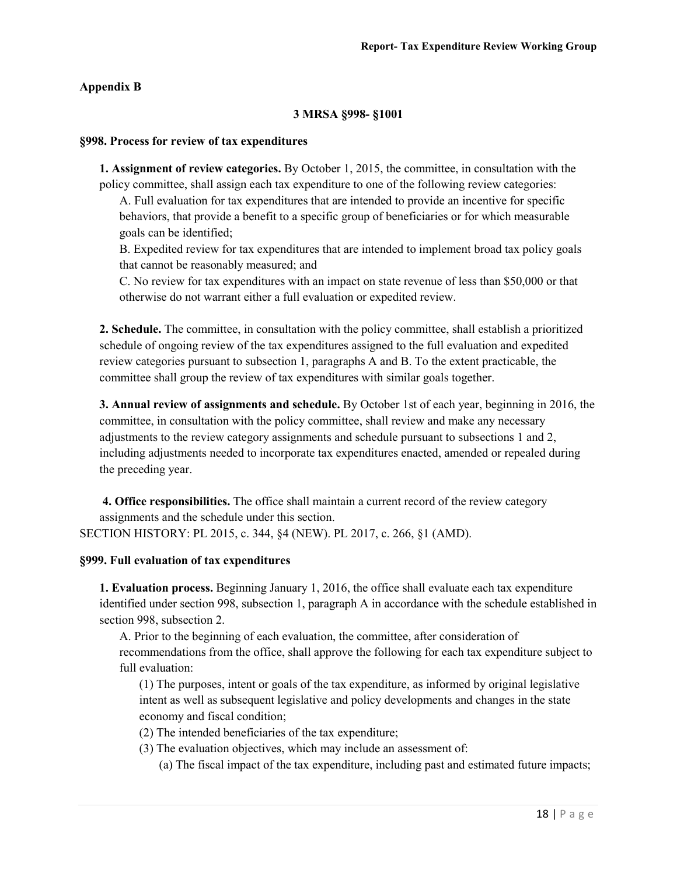#### **Appendix B**

#### **3 MRSA §998- §1001**

#### **§998. Process for review of tax expenditures**

**1. Assignment of review categories.** By October 1, 2015, the committee, in consultation with the policy committee, shall assign each tax expenditure to one of the following review categories:

A. Full evaluation for tax expenditures that are intended to provide an incentive for specific behaviors, that provide a benefit to a specific group of beneficiaries or for which measurable goals can be identified;

B. Expedited review for tax expenditures that are intended to implement broad tax policy goals that cannot be reasonably measured; and

C. No review for tax expenditures with an impact on state revenue of less than \$50,000 or that otherwise do not warrant either a full evaluation or expedited review.

**2. Schedule.** The committee, in consultation with the policy committee, shall establish a prioritized schedule of ongoing review of the tax expenditures assigned to the full evaluation and expedited review categories pursuant to subsection 1, paragraphs A and B. To the extent practicable, the committee shall group the review of tax expenditures with similar goals together.

**3. Annual review of assignments and schedule.** By October 1st of each year, beginning in 2016, the committee, in consultation with the policy committee, shall review and make any necessary adjustments to the review category assignments and schedule pursuant to subsections 1 and 2, including adjustments needed to incorporate tax expenditures enacted, amended or repealed during the preceding year.

**4. Office responsibilities.** The office shall maintain a current record of the review category assignments and the schedule under this section. SECTION HISTORY: PL 2015, c. 344, §4 (NEW). PL 2017, c. 266, §1 (AMD).

**§999. Full evaluation of tax expenditures**

**1. Evaluation process.** Beginning January 1, 2016, the office shall evaluate each tax expenditure identified under section 998, subsection 1, paragraph A in accordance with the schedule established in section 998, subsection 2.

A. Prior to the beginning of each evaluation, the committee, after consideration of recommendations from the office, shall approve the following for each tax expenditure subject to full evaluation:

(1) The purposes, intent or goals of the tax expenditure, as informed by original legislative intent as well as subsequent legislative and policy developments and changes in the state economy and fiscal condition;

(2) The intended beneficiaries of the tax expenditure;

(3) The evaluation objectives, which may include an assessment of:

(a) The fiscal impact of the tax expenditure, including past and estimated future impacts;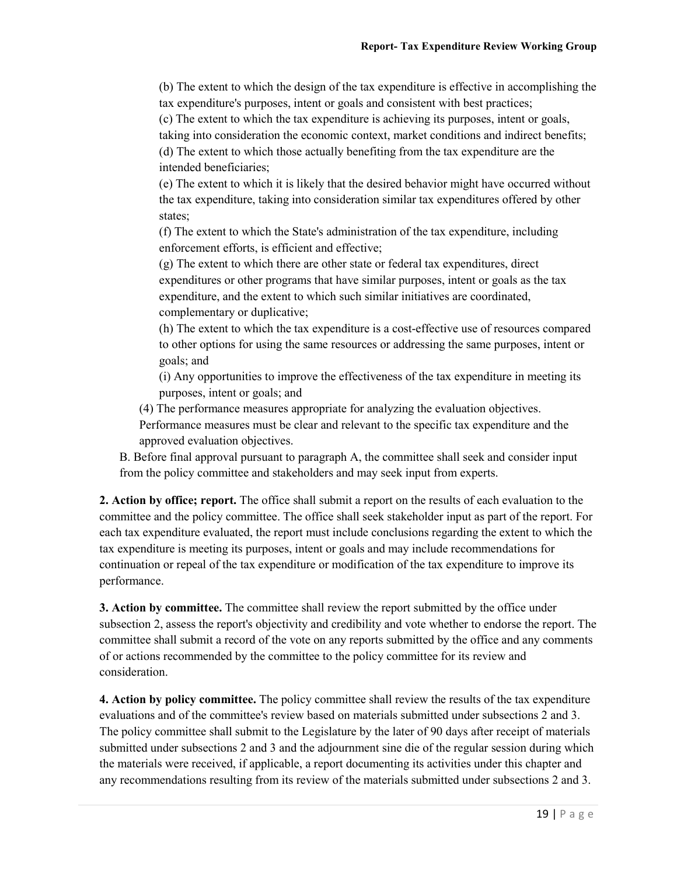(b) The extent to which the design of the tax expenditure is effective in accomplishing the tax expenditure's purposes, intent or goals and consistent with best practices;

(c) The extent to which the tax expenditure is achieving its purposes, intent or goals, taking into consideration the economic context, market conditions and indirect benefits;

(d) The extent to which those actually benefiting from the tax expenditure are the intended beneficiaries;

(e) The extent to which it is likely that the desired behavior might have occurred without the tax expenditure, taking into consideration similar tax expenditures offered by other states;

(f) The extent to which the State's administration of the tax expenditure, including enforcement efforts, is efficient and effective;

(g) The extent to which there are other state or federal tax expenditures, direct expenditures or other programs that have similar purposes, intent or goals as the tax expenditure, and the extent to which such similar initiatives are coordinated, complementary or duplicative;

(h) The extent to which the tax expenditure is a cost-effective use of resources compared to other options for using the same resources or addressing the same purposes, intent or goals; and

(i) Any opportunities to improve the effectiveness of the tax expenditure in meeting its purposes, intent or goals; and

(4) The performance measures appropriate for analyzing the evaluation objectives.

Performance measures must be clear and relevant to the specific tax expenditure and the approved evaluation objectives.

B. Before final approval pursuant to paragraph A, the committee shall seek and consider input from the policy committee and stakeholders and may seek input from experts.

**2. Action by office; report.** The office shall submit a report on the results of each evaluation to the committee and the policy committee. The office shall seek stakeholder input as part of the report. For each tax expenditure evaluated, the report must include conclusions regarding the extent to which the tax expenditure is meeting its purposes, intent or goals and may include recommendations for continuation or repeal of the tax expenditure or modification of the tax expenditure to improve its performance.

**3. Action by committee.** The committee shall review the report submitted by the office under subsection 2, assess the report's objectivity and credibility and vote whether to endorse the report. The committee shall submit a record of the vote on any reports submitted by the office and any comments of or actions recommended by the committee to the policy committee for its review and consideration.

**4. Action by policy committee.** The policy committee shall review the results of the tax expenditure evaluations and of the committee's review based on materials submitted under subsections 2 and 3. The policy committee shall submit to the Legislature by the later of 90 days after receipt of materials submitted under subsections 2 and 3 and the adjournment sine die of the regular session during which the materials were received, if applicable, a report documenting its activities under this chapter and any recommendations resulting from its review of the materials submitted under subsections 2 and 3.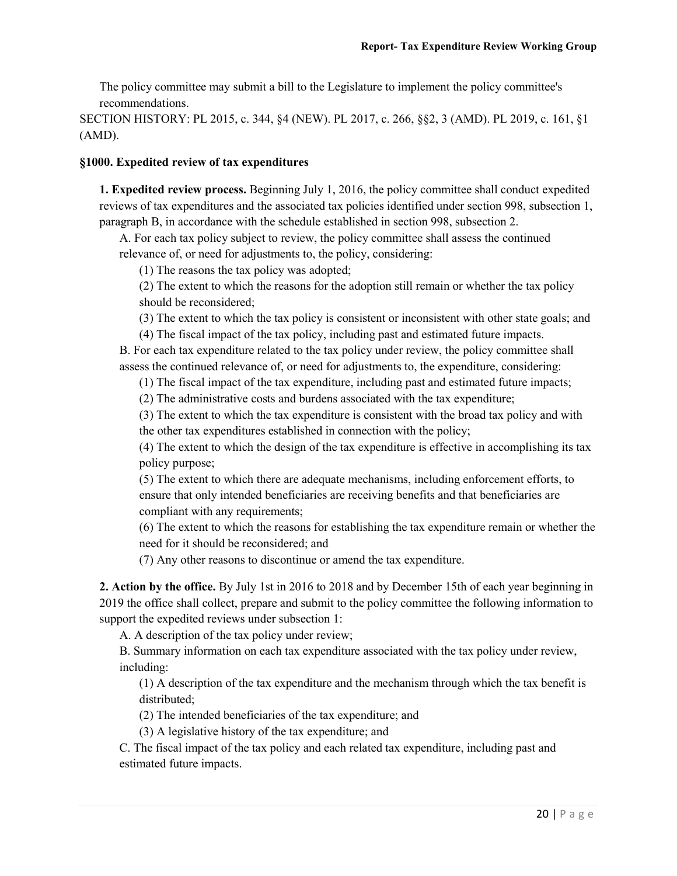The policy committee may submit a bill to the Legislature to implement the policy committee's recommendations.

SECTION HISTORY: PL 2015, c. 344, §4 (NEW). PL 2017, c. 266, §§2, 3 (AMD). PL 2019, c. 161, §1 (AMD).

#### **§1000. Expedited review of tax expenditures**

**1. Expedited review process.** Beginning July 1, 2016, the policy committee shall conduct expedited reviews of tax expenditures and the associated tax policies identified under section 998, subsection 1, paragraph B, in accordance with the schedule established in section 998, subsection 2.

A. For each tax policy subject to review, the policy committee shall assess the continued relevance of, or need for adjustments to, the policy, considering:

(1) The reasons the tax policy was adopted;

(2) The extent to which the reasons for the adoption still remain or whether the tax policy should be reconsidered;

(3) The extent to which the tax policy is consistent or inconsistent with other state goals; and

(4) The fiscal impact of the tax policy, including past and estimated future impacts.

B. For each tax expenditure related to the tax policy under review, the policy committee shall assess the continued relevance of, or need for adjustments to, the expenditure, considering:

(1) The fiscal impact of the tax expenditure, including past and estimated future impacts;

(2) The administrative costs and burdens associated with the tax expenditure;

(3) The extent to which the tax expenditure is consistent with the broad tax policy and with the other tax expenditures established in connection with the policy;

(4) The extent to which the design of the tax expenditure is effective in accomplishing its tax policy purpose;

(5) The extent to which there are adequate mechanisms, including enforcement efforts, to ensure that only intended beneficiaries are receiving benefits and that beneficiaries are compliant with any requirements;

(6) The extent to which the reasons for establishing the tax expenditure remain or whether the need for it should be reconsidered; and

(7) Any other reasons to discontinue or amend the tax expenditure.

**2. Action by the office.** By July 1st in 2016 to 2018 and by December 15th of each year beginning in 2019 the office shall collect, prepare and submit to the policy committee the following information to support the expedited reviews under subsection 1:

A. A description of the tax policy under review;

B. Summary information on each tax expenditure associated with the tax policy under review, including:

(1) A description of the tax expenditure and the mechanism through which the tax benefit is distributed;

(2) The intended beneficiaries of the tax expenditure; and

(3) A legislative history of the tax expenditure; and

C. The fiscal impact of the tax policy and each related tax expenditure, including past and estimated future impacts.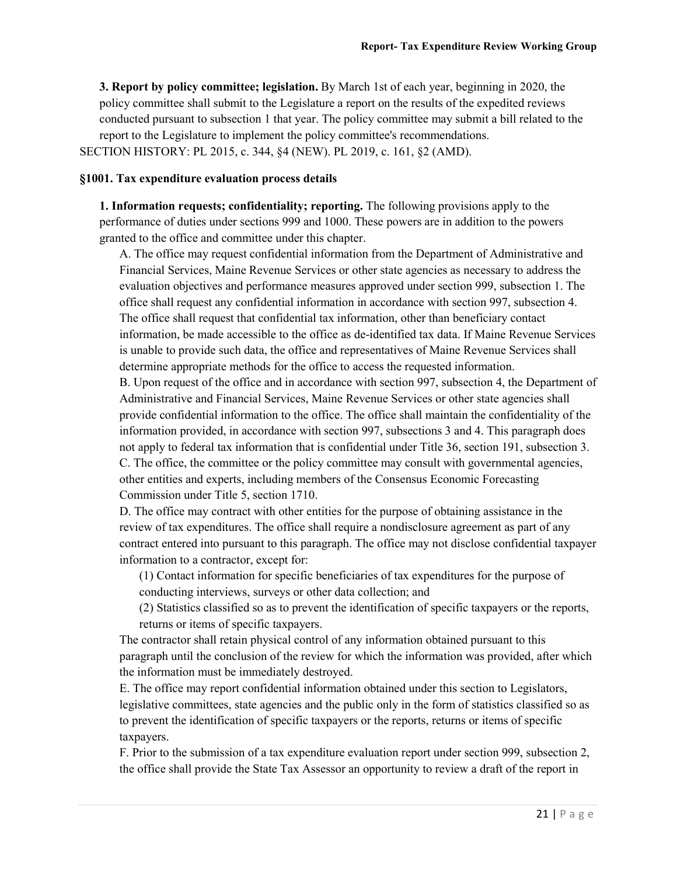**3. Report by policy committee; legislation.** By March 1st of each year, beginning in 2020, the policy committee shall submit to the Legislature a report on the results of the expedited reviews conducted pursuant to subsection 1 that year. The policy committee may submit a bill related to the report to the Legislature to implement the policy committee's recommendations. SECTION HISTORY: PL 2015, c. 344, §4 (NEW). PL 2019, c. 161, §2 (AMD).

#### **§1001. Tax expenditure evaluation process details**

**1. Information requests; confidentiality; reporting.** The following provisions apply to the performance of duties under sections 999 and 1000. These powers are in addition to the powers granted to the office and committee under this chapter.

A. The office may request confidential information from the Department of Administrative and Financial Services, Maine Revenue Services or other state agencies as necessary to address the evaluation objectives and performance measures approved under section 999, subsection 1. The office shall request any confidential information in accordance with section 997, subsection 4. The office shall request that confidential tax information, other than beneficiary contact information, be made accessible to the office as de-identified tax data. If Maine Revenue Services is unable to provide such data, the office and representatives of Maine Revenue Services shall determine appropriate methods for the office to access the requested information.

B. Upon request of the office and in accordance with section 997, subsection 4, the Department of Administrative and Financial Services, Maine Revenue Services or other state agencies shall provide confidential information to the office. The office shall maintain the confidentiality of the information provided, in accordance with section 997, subsections 3 and 4. This paragraph does not apply to federal tax information that is confidential under Title 36, section 191, subsection 3. C. The office, the committee or the policy committee may consult with governmental agencies, other entities and experts, including members of the Consensus Economic Forecasting Commission under Title 5, section 1710.

D. The office may contract with other entities for the purpose of obtaining assistance in the review of tax expenditures. The office shall require a nondisclosure agreement as part of any contract entered into pursuant to this paragraph. The office may not disclose confidential taxpayer information to a contractor, except for:

(1) Contact information for specific beneficiaries of tax expenditures for the purpose of conducting interviews, surveys or other data collection; and

(2) Statistics classified so as to prevent the identification of specific taxpayers or the reports, returns or items of specific taxpayers.

The contractor shall retain physical control of any information obtained pursuant to this paragraph until the conclusion of the review for which the information was provided, after which the information must be immediately destroyed.

E. The office may report confidential information obtained under this section to Legislators, legislative committees, state agencies and the public only in the form of statistics classified so as to prevent the identification of specific taxpayers or the reports, returns or items of specific taxpayers.

F. Prior to the submission of a tax expenditure evaluation report under section 999, subsection 2, the office shall provide the State Tax Assessor an opportunity to review a draft of the report in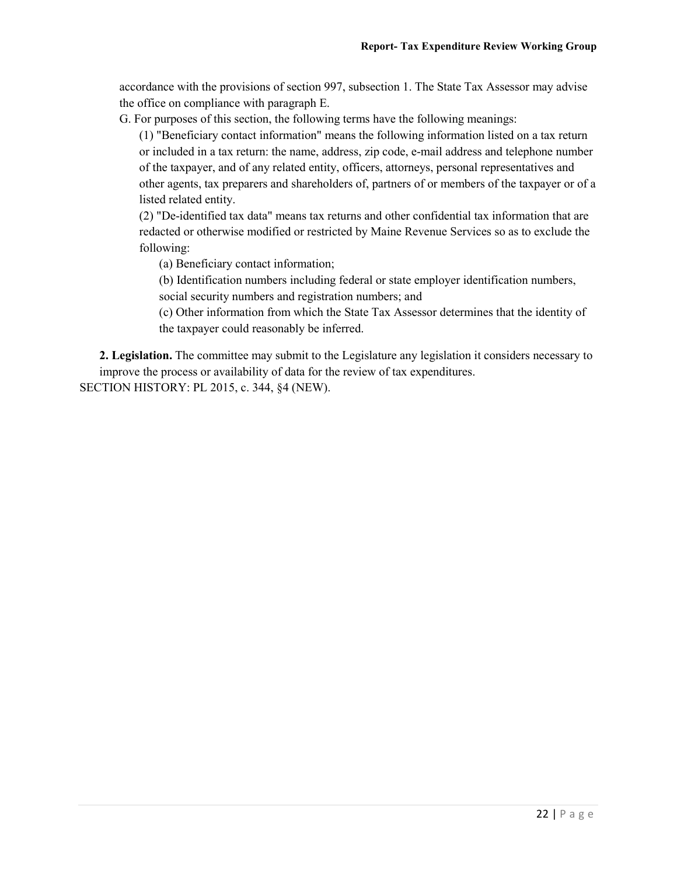accordance with the provisions of section 997, subsection 1. The State Tax Assessor may advise the office on compliance with paragraph E.

G. For purposes of this section, the following terms have the following meanings:

(1) "Beneficiary contact information" means the following information listed on a tax return or included in a tax return: the name, address, zip code, e-mail address and telephone number of the taxpayer, and of any related entity, officers, attorneys, personal representatives and other agents, tax preparers and shareholders of, partners of or members of the taxpayer or of a listed related entity.

(2) "De-identified tax data" means tax returns and other confidential tax information that are redacted or otherwise modified or restricted by Maine Revenue Services so as to exclude the following:

(a) Beneficiary contact information;

(b) Identification numbers including federal or state employer identification numbers, social security numbers and registration numbers; and

(c) Other information from which the State Tax Assessor determines that the identity of the taxpayer could reasonably be inferred.

**2. Legislation.** The committee may submit to the Legislature any legislation it considers necessary to improve the process or availability of data for the review of tax expenditures.

SECTION HISTORY: PL 2015, c. 344, §4 (NEW).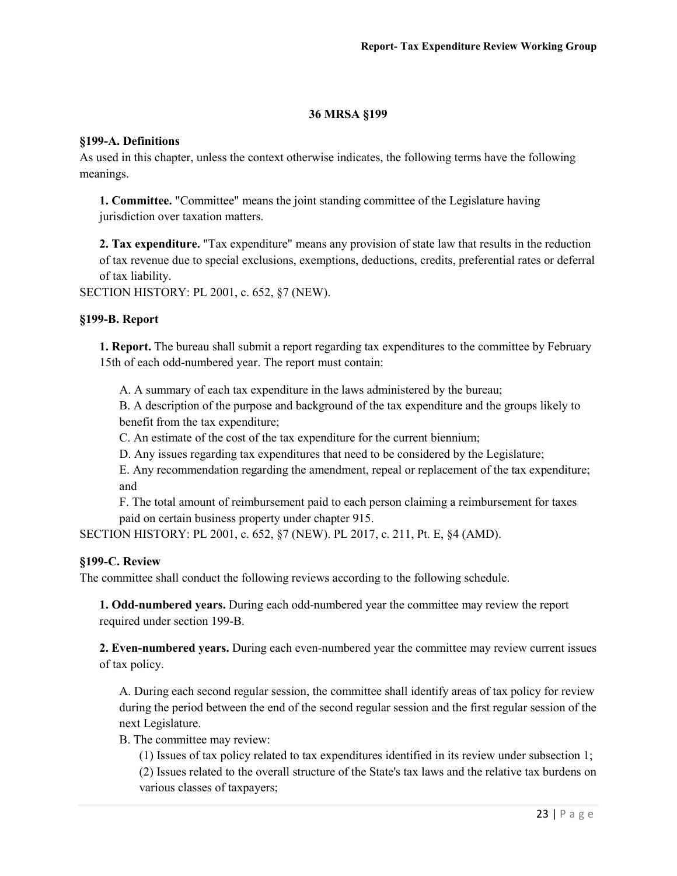#### **36 MRSA §199**

#### **§199-A. Definitions**

As used in this chapter, unless the context otherwise indicates, the following terms have the following meanings.

**1. Committee.** "Committee" means the joint standing committee of the Legislature having jurisdiction over taxation matters.

**2. Tax expenditure.** "Tax expenditure" means any provision of state law that results in the reduction of tax revenue due to special exclusions, exemptions, deductions, credits, preferential rates or deferral of tax liability.

SECTION HISTORY: PL 2001, c. 652, §7 (NEW).

#### **§199-B. Report**

**1. Report.** The bureau shall submit a report regarding tax expenditures to the committee by February 15th of each odd-numbered year. The report must contain:

A. A summary of each tax expenditure in the laws administered by the bureau;

B. A description of the purpose and background of the tax expenditure and the groups likely to benefit from the tax expenditure;

C. An estimate of the cost of the tax expenditure for the current biennium;

D. Any issues regarding tax expenditures that need to be considered by the Legislature;

E. Any recommendation regarding the amendment, repeal or replacement of the tax expenditure; and

F. The total amount of reimbursement paid to each person claiming a reimbursement for taxes paid on certain business property under chapter 915.

SECTION HISTORY: PL 2001, c. 652, §7 (NEW). PL 2017, c. 211, Pt. E, §4 (AMD).

#### **§199-C. Review**

The committee shall conduct the following reviews according to the following schedule.

**1. Odd-numbered years.** During each odd-numbered year the committee may review the report required under section 199-B.

**2. Even-numbered years.** During each even-numbered year the committee may review current issues of tax policy.

A. During each second regular session, the committee shall identify areas of tax policy for review during the period between the end of the second regular session and the first regular session of the next Legislature.

B. The committee may review:

(1) Issues of tax policy related to tax expenditures identified in its review under subsection 1; (2) Issues related to the overall structure of the State's tax laws and the relative tax burdens on various classes of taxpayers;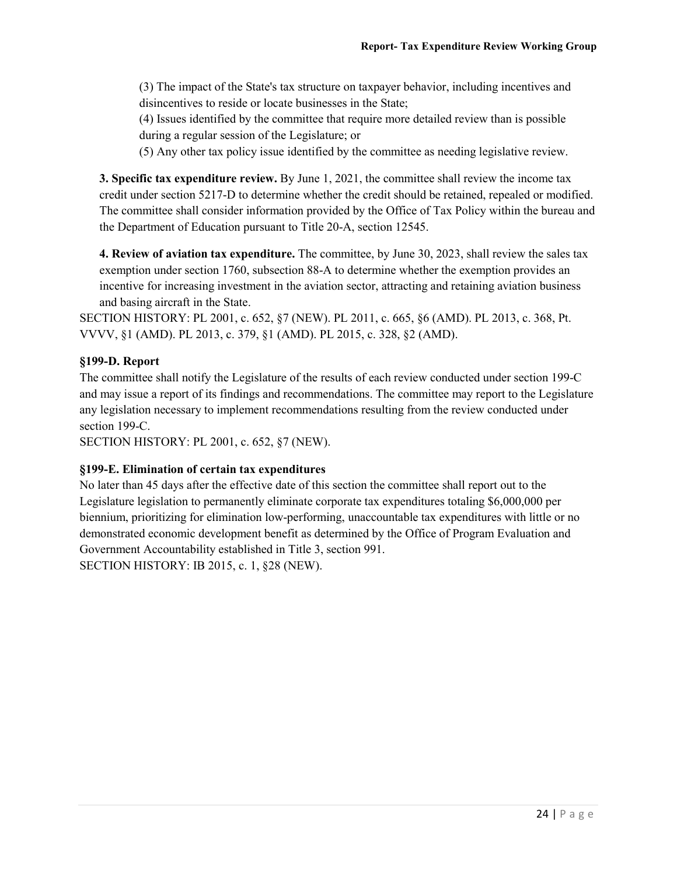(3) The impact of the State's tax structure on taxpayer behavior, including incentives and disincentives to reside or locate businesses in the State;

(4) Issues identified by the committee that require more detailed review than is possible during a regular session of the Legislature; or

(5) Any other tax policy issue identified by the committee as needing legislative review.

**3. Specific tax expenditure review.** By June 1, 2021, the committee shall review the income tax credit under section 5217-D to determine whether the credit should be retained, repealed or modified. The committee shall consider information provided by the Office of Tax Policy within the bureau and the Department of Education pursuant to Title 20-A, section 12545.

**4. Review of aviation tax expenditure.** The committee, by June 30, 2023, shall review the sales tax exemption under section 1760, subsection 88-A to determine whether the exemption provides an incentive for increasing investment in the aviation sector, attracting and retaining aviation business and basing aircraft in the State.

SECTION HISTORY: PL 2001, c. 652, §7 (NEW). PL 2011, c. 665, §6 (AMD). PL 2013, c. 368, Pt. VVVV, §1 (AMD). PL 2013, c. 379, §1 (AMD). PL 2015, c. 328, §2 (AMD).

#### **§199-D. Report**

The committee shall notify the Legislature of the results of each review conducted under section 199-C and may issue a report of its findings and recommendations. The committee may report to the Legislature any legislation necessary to implement recommendations resulting from the review conducted under section 199-C.

SECTION HISTORY: PL 2001, c. 652, §7 (NEW).

#### **§199-E. Elimination of certain tax expenditures**

No later than 45 days after the effective date of this section the committee shall report out to the Legislature legislation to permanently eliminate corporate tax expenditures totaling \$6,000,000 per biennium, prioritizing for elimination low-performing, unaccountable tax expenditures with little or no demonstrated economic development benefit as determined by the Office of Program Evaluation and Government Accountability established in Title 3, section 991. SECTION HISTORY: IB 2015, c. 1, §28 (NEW).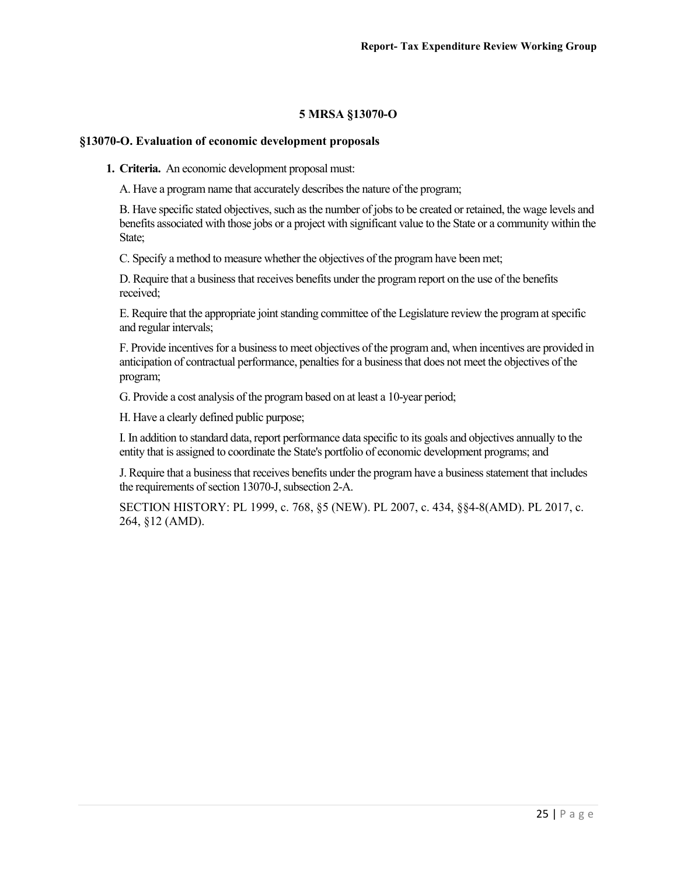#### **5 MRSA §13070-O**

#### **§13070-O. Evaluation of economic development proposals**

**1. Criteria.** An economic development proposal must:

A. Have a program name that accurately describes the nature of the program;

B. Have specific stated objectives, such as the number of jobs to be created or retained, the wage levels and benefits associated with those jobs or a project with significant value to the State or a community within the State;

C. Specify a method to measure whether the objectives of the program have been met;

D. Require that a business that receives benefits under the program report on the use of the benefits received;

E. Require that the appropriate joint standing committee of the Legislature review the program at specific and regular intervals;

F. Provide incentives for a business to meet objectives of the program and, when incentives are provided in anticipation of contractual performance, penalties for a business that does not meet the objectives of the program;

G. Provide a cost analysis of the program based on at least a 10-year period;

H. Have a clearly defined public purpose;

I. In addition to standard data, report performance data specific to its goals and objectives annually to the entity that is assigned to coordinate the State's portfolio of economic development programs; and

J. Require that a business that receives benefits under the program have a business statement that includes the requirements of section 13070-J, subsection 2-A.

SECTION HISTORY: PL 1999, c. 768, §5 (NEW). PL 2007, c. 434, §§4-8(AMD). PL 2017, c. 264, §12 (AMD).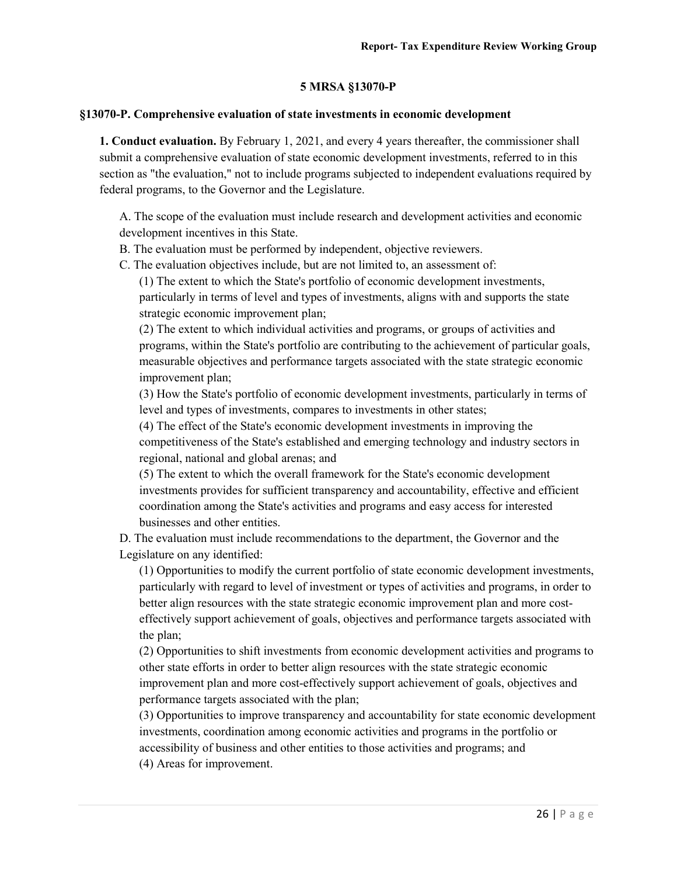#### **5 MRSA §13070-P**

#### **§13070-P. Comprehensive evaluation of state investments in economic development**

**1. Conduct evaluation.** By February 1, 2021, and every 4 years thereafter, the commissioner shall submit a comprehensive evaluation of state economic development investments, referred to in this section as "the evaluation," not to include programs subjected to independent evaluations required by federal programs, to the Governor and the Legislature.

A. The scope of the evaluation must include research and development activities and economic development incentives in this State.

B. The evaluation must be performed by independent, objective reviewers.

C. The evaluation objectives include, but are not limited to, an assessment of:

(1) The extent to which the State's portfolio of economic development investments, particularly in terms of level and types of investments, aligns with and supports the state strategic economic improvement plan;

(2) The extent to which individual activities and programs, or groups of activities and programs, within the State's portfolio are contributing to the achievement of particular goals, measurable objectives and performance targets associated with the state strategic economic improvement plan;

(3) How the State's portfolio of economic development investments, particularly in terms of level and types of investments, compares to investments in other states;

(4) The effect of the State's economic development investments in improving the competitiveness of the State's established and emerging technology and industry sectors in regional, national and global arenas; and

(5) The extent to which the overall framework for the State's economic development investments provides for sufficient transparency and accountability, effective and efficient coordination among the State's activities and programs and easy access for interested businesses and other entities.

D. The evaluation must include recommendations to the department, the Governor and the Legislature on any identified:

(1) Opportunities to modify the current portfolio of state economic development investments, particularly with regard to level of investment or types of activities and programs, in order to better align resources with the state strategic economic improvement plan and more costeffectively support achievement of goals, objectives and performance targets associated with the plan;

(2) Opportunities to shift investments from economic development activities and programs to other state efforts in order to better align resources with the state strategic economic improvement plan and more cost-effectively support achievement of goals, objectives and performance targets associated with the plan;

(3) Opportunities to improve transparency and accountability for state economic development investments, coordination among economic activities and programs in the portfolio or accessibility of business and other entities to those activities and programs; and (4) Areas for improvement.